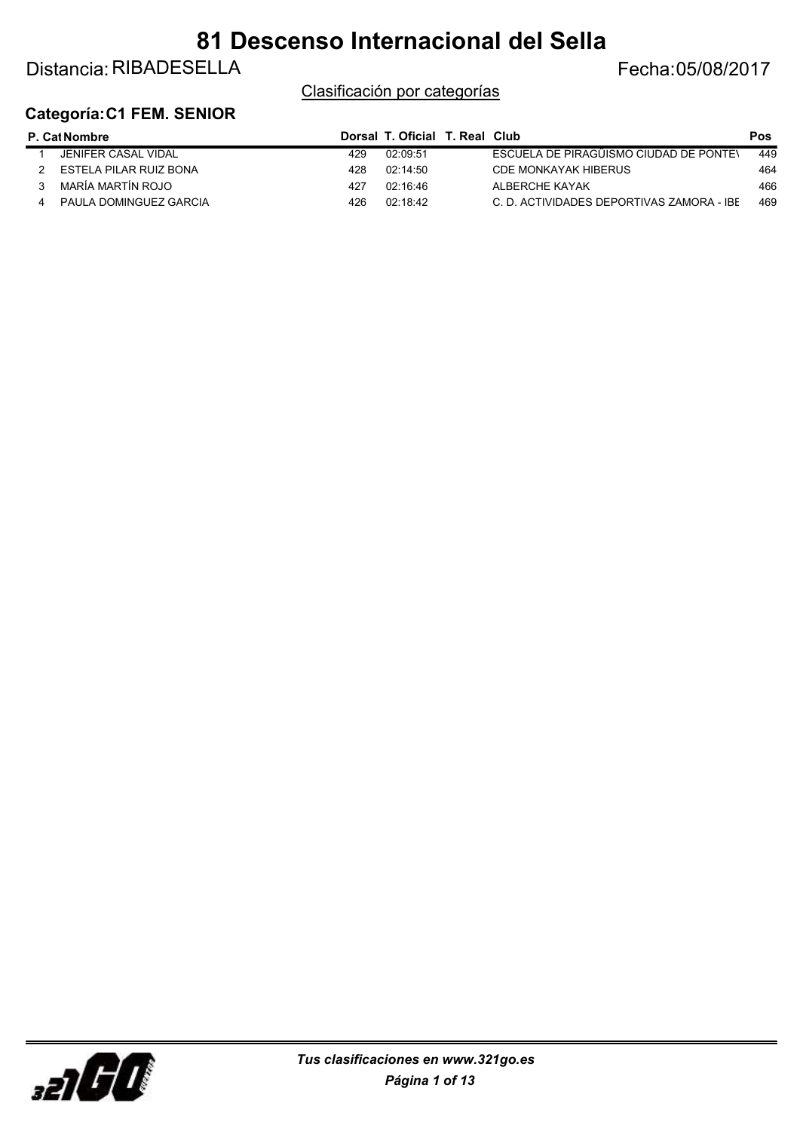### Distancia: RIBADESELLA Fecha: 05/08/2017

Clasificación por categorías

#### Categoría:C1 FEM. SENIOR

| <b>P. Cat Nombre</b> |                        |     | Dorsal T. Oficial T. Real Club |                                           | <b>Pos</b> |
|----------------------|------------------------|-----|--------------------------------|-------------------------------------------|------------|
|                      | JENIFER CASAL VIDAL    | 429 | 02:09:51                       | ESCUELA DE PIRAGÜISMO CIUDAD DE PONTEN    | 449        |
|                      | ESTELA PILAR RUIZ BONA | 428 | 02:14:50                       | CDE MONKAYAK HIBERUS                      | 464        |
|                      | MARÍA MARTÍN ROJO      | 427 | በ2 16 46                       | ALBERCHE KAYAK                            | 466        |
|                      | PAULA DOMINGUEZ GARCIA | 426 | 02:18:42                       | C. D. ACTIVIDADES DEPORTIVAS ZAMORA - IBE | 469        |

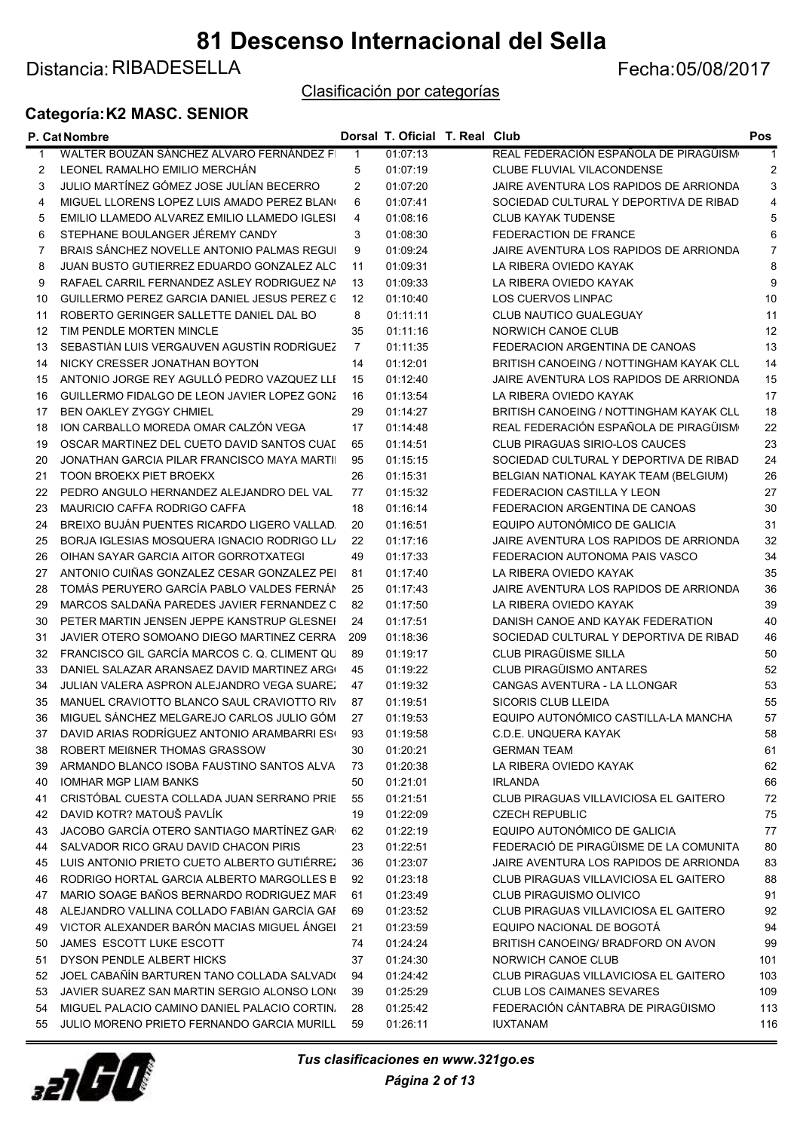Distancia: RIBADESELLA Fecha: 05/08/2017

Clasificación por categorías

#### Categoría:K2 MASC. SENIOR

|             | P. Cat Nombre                                     |                | Dorsal T. Oficial T. Real Club |                                         | Pos |
|-------------|---------------------------------------------------|----------------|--------------------------------|-----------------------------------------|-----|
| $\mathbf 1$ | WALTER BOUZÁN SÁNCHEZ ALVARO FERNÁNDEZ FI         | $\mathbf{1}$   | 01:07:13                       | REAL FEDERACIÓN ESPAÑOLA DE PIRAGÜISM   |     |
| 2           | LEONEL RAMALHO EMILIO MERCHÁN                     | 5              | 01:07:19                       | CLUBE FLUVIAL VILACONDENSE              | 2   |
| 3           | JULIO MARTÍNEZ GÓMEZ JOSE JULÍAN BECERRO          | 2              | 01:07:20                       | JAIRE AVENTURA LOS RAPIDOS DE ARRIONDA  | 3   |
| 4           | MIGUEL LLORENS LOPEZ LUIS AMADO PEREZ BLANO       | 6              | 01:07:41                       | SOCIEDAD CULTURAL Y DEPORTIVA DE RIBAD  | 4   |
| 5           | EMILIO LLAMEDO ALVAREZ EMILIO LLAMEDO IGLESI      | 4              | 01:08:16                       | <b>CLUB KAYAK TUDENSE</b>               | 5   |
| 6           | STEPHANE BOULANGER JÉREMY CANDY                   | 3              | 01:08:30                       | FEDERACTION DE FRANCE                   | 6   |
| 7           | BRAIS SÁNCHEZ NOVELLE ANTONIO PALMAS REGUI        | 9              | 01:09:24                       | JAIRE AVENTURA LOS RAPIDOS DE ARRIONDA  | 7   |
| 8           | JUAN BUSTO GUTIERREZ EDUARDO GONZALEZ ALO         | 11             | 01:09:31                       | LA RIBERA OVIEDO KAYAK                  | 8   |
| 9           | RAFAEL CARRIL FERNANDEZ ASLEY RODRIGUEZ NA        | 13             | 01:09:33                       | LA RIBERA OVIEDO KAYAK                  | 9   |
| 10          | GUILLERMO PEREZ GARCIA DANIEL JESUS PEREZ C       | 12             | 01:10:40                       | LOS CUERVOS LINPAC                      | 10  |
| 11          | ROBERTO GERINGER SALLETTE DANIEL DAL BO           | 8              | 01:11:11                       | CLUB NAUTICO GUALEGUAY                  | 11  |
| 12          | TIM PENDLE MORTEN MINCLE                          | 35             | 01:11:16                       | NORWICH CANOE CLUB                      | 12  |
| 13          | SEBASTIÁN LUIS VERGAUVEN AGUSTÍN RODRÍGUEZ        | $\overline{7}$ | 01:11:35                       | FEDERACION ARGENTINA DE CANOAS          | 13  |
| 14          | NICKY CRESSER JONATHAN BOYTON                     | 14             | 01:12:01                       | BRITISH CANOEING / NOTTINGHAM KAYAK CLL | 14  |
| 15          | ANTONIO JORGE REY AGULLÓ PEDRO VAZQUEZ LLE        | 15             | 01:12:40                       | JAIRE AVENTURA LOS RAPIDOS DE ARRIONDA  | 15  |
| 16          | GUILLERMO FIDALGO DE LEON JAVIER LOPEZ GONZ       | 16             | 01:13:54                       | LA RIBERA OVIEDO KAYAK                  | 17  |
| 17          | <b>BEN OAKLEY ZYGGY CHMIEL</b>                    | 29             | 01:14:27                       | BRITISH CANOEING / NOTTINGHAM KAYAK CLL | 18  |
| 18          | ION CARBALLO MOREDA OMAR CALZÓN VEGA              | 17             | 01:14:48                       | REAL FEDERACIÓN ESPAÑOLA DE PIRAGÜISM   | 22  |
| 19          | OSCAR MARTINEZ DEL CUETO DAVID SANTOS CUAL        | 65             | 01:14:51                       | CLUB PIRAGUAS SIRIO-LOS CAUCES          | 23  |
| 20          | JONATHAN GARCIA PILAR FRANCISCO MAYA MARTII       | 95             | 01:15:15                       | SOCIEDAD CULTURAL Y DEPORTIVA DE RIBAD  | 24  |
| 21          | <b>TOON BROEKX PIET BROEKX</b>                    | 26             | 01:15:31                       | BELGIAN NATIONAL KAYAK TEAM (BELGIUM)   | 26  |
| 22          | PEDRO ANGULO HERNANDEZ ALEJANDRO DEL VAL          | 77             | 01:15:32                       | FEDERACION CASTILLA Y LEON              | 27  |
| 23          | MAURICIO CAFFA RODRIGO CAFFA                      | 18             | 01:16:14                       | FEDERACION ARGENTINA DE CANOAS          | 30  |
| 24          | BREIXO BUJÁN PUENTES RICARDO LIGERO VALLAD.       | 20             | 01:16:51                       | EQUIPO AUTONÓMICO DE GALICIA            | 31  |
| 25          | BORJA IGLESIAS MOSQUERA IGNACIO RODRIGO LLI       | 22             | 01:17:16                       | JAIRE AVENTURA LOS RAPIDOS DE ARRIONDA  | 32  |
|             | OIHAN SAYAR GARCIA AITOR GORROTXATEGI             | 49             |                                | FEDERACION AUTONOMA PAIS VASCO          | 34  |
| 26          | ANTONIO CUIÑAS GONZALEZ CESAR GONZALEZ PEI        |                | 01:17:33                       | LA RIBERA OVIEDO KAYAK                  |     |
| 27          |                                                   | 81             | 01:17:40                       |                                         | 35  |
| 28          | TOMÁS PERUYERO GARCÍA PABLO VALDES FERNÁN         | 25             | 01:17:43                       | JAIRE AVENTURA LOS RAPIDOS DE ARRIONDA  | 36  |
| 29          | MARCOS SALDAÑA PAREDES JAVIER FERNANDEZ C         | 82             | 01:17:50                       | LA RIBERA OVIEDO KAYAK                  | 39  |
| 30          | PETER MARTIN JENSEN JEPPE KANSTRUP GLESNEI        | 24             | 01:17:51                       | DANISH CANOE AND KAYAK FEDERATION       | 40  |
| 31          | JAVIER OTERO SOMOANO DIEGO MARTINEZ CERRA         | 209            | 01:18:36                       | SOCIEDAD CULTURAL Y DEPORTIVA DE RIBAD  | 46  |
| 32          | FRANCISCO GIL GARCÍA MARCOS C. Q. CLIMENT QU      | 89             | 01:19:17                       | CLUB PIRAGÜISME SILLA                   | 50  |
| 33          | DANIEL SALAZAR ARANSAEZ DAVID MARTINEZ ARGO       | 45             | 01:19:22                       | CLUB PIRAGÜISMO ANTARES                 | 52  |
| 34          | JULIAN VALERA ASPRON ALEJANDRO VEGA SUAREZ        | 47             | 01:19:32                       | CANGAS AVENTURA - LA LLONGAR            | 53  |
| 35          | MANUEL CRAVIOTTO BLANCO SAUL CRAVIOTTO RIV        | 87             | 01:19:51                       | <b>SICORIS CLUB LLEIDA</b>              | 55  |
| 36          | MIGUEL SÁNCHEZ MELGAREJO CARLOS JULIO GÓM         | 27             | 01:19:53                       | EQUIPO AUTONÓMICO CASTILLA-LA MANCHA    | 57  |
|             | 37 DAVID ARIAS RODRÍGUEZ ANTONIO ARAMBARRI ES( 93 |                | 01:19:58                       | C.D.E. UNQUERA KAYAK                    | 58  |
| 38          | ROBERT MEIBNER THOMAS GRASSOW                     | 30             | 01:20:21                       | <b>GERMAN TEAM</b>                      | 61  |
| 39          | ARMANDO BLANCO ISOBA FAUSTINO SANTOS ALVA         | 73             | 01:20:38                       | LA RIBERA OVIEDO KAYAK                  | 62  |
| 40          | <b>IOMHAR MGP LIAM BANKS</b>                      | 50             | 01:21:01                       | <b>IRLANDA</b>                          | 66  |
| 41          | CRISTÓBAL CUESTA COLLADA JUAN SERRANO PRIE        | 55             | 01:21:51                       | CLUB PIRAGUAS VILLAVICIOSA EL GAITERO   | 72  |
| 42          | DAVID KOTR? MATOUŠ PAVLÍK                         | 19             | 01:22:09                       | <b>CZECH REPUBLIC</b>                   | 75  |
| 43          | JACOBO GARCÍA OTERO SANTIAGO MARTÍNEZ GARO        | 62             | 01:22:19                       | EQUIPO AUTONÓMICO DE GALICIA            | 77  |
| 44          | SALVADOR RICO GRAU DAVID CHACON PIRIS             | 23             | 01:22:51                       | FEDERACIÓ DE PIRAGÜISME DE LA COMUNITA  | 80  |
| 45          | LUIS ANTONIO PRIETO CUETO ALBERTO GUTIÉRREZ       | 36             | 01:23:07                       | JAIRE AVENTURA LOS RAPIDOS DE ARRIONDA  | 83  |
| 46          | RODRIGO HORTAL GARCIA ALBERTO MARGOLLES B         | 92             | 01:23:18                       | CLUB PIRAGUAS VILLAVICIOSA EL GAITERO   | 88  |
| 47          | MARIO SOAGE BAÑOS BERNARDO RODRIGUEZ MAR          | 61             | 01:23:49                       | CLUB PIRAGUISMO OLIVICO                 | 91  |
| 48          | ALEJANDRO VALLINA COLLADO FABIÁN GARCÍA GAF       | 69             | 01:23:52                       | CLUB PIRAGUAS VILLAVICIOSA EL GAITERO   | 92  |
| 49          | VICTOR ALEXANDER BARÓN MACIAS MIGUEL ÁNGEL        | 21             | 01:23:59                       | EQUIPO NACIONAL DE BOGOTA               | 94  |
| 50          | JAMES ESCOTT LUKE ESCOTT                          | 74             | 01:24:24                       | BRITISH CANOEING/ BRADFORD ON AVON      | 99  |
| 51          | DYSON PENDLE ALBERT HICKS                         | 37             | 01:24:30                       | NORWICH CANOE CLUB                      | 101 |
| 52          | JOEL CABAÑÍN BARTUREN TANO COLLADA SALVADO        | 94             | 01:24:42                       | CLUB PIRAGUAS VILLAVICIOSA EL GAITERO   | 103 |
| 53          | JAVIER SUAREZ SAN MARTIN SERGIO ALONSO LONG       | 39             | 01:25:29                       | <b>CLUB LOS CAIMANES SEVARES</b>        | 109 |
| 54          | MIGUEL PALACIO CAMINO DANIEL PALACIO CORTIN       | 28             | 01:25:42                       | FEDERACIÓN CÁNTABRA DE PIRAGÜISMO       | 113 |
| 55          | JULIO MORENO PRIETO FERNANDO GARCIA MURILL        | 59             | 01:26:11                       | <b>IUXTANAM</b>                         | 116 |

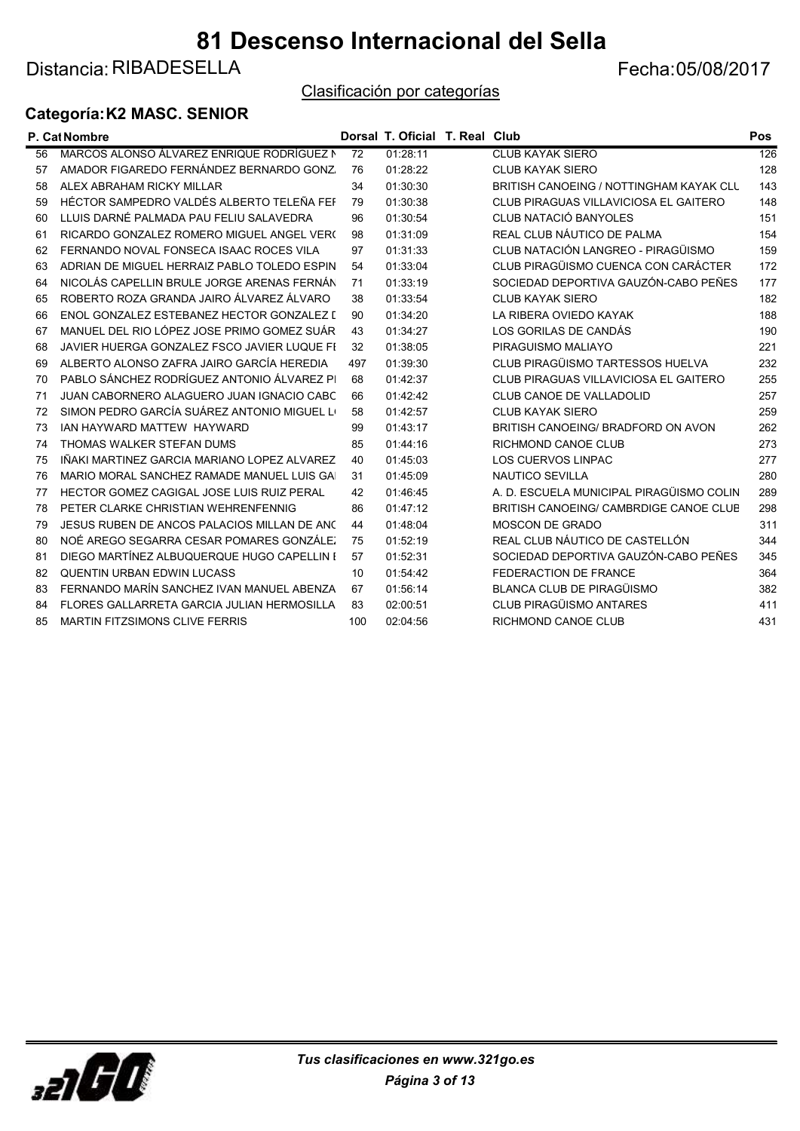Distancia: RIBADESELLA Fecha: 05/08/2017

Clasificación por categorías

#### Categoría:K2 MASC. SENIOR

|    | P. Cat Nombre                               |                 | Dorsal T. Oficial T. Real Club |                                          | <b>Pos</b>       |
|----|---------------------------------------------|-----------------|--------------------------------|------------------------------------------|------------------|
| 56 | MARCOS ALONSO ÁLVAREZ ENRIQUE RODRÍGUEZ N   | $\overline{72}$ | 01:28:11                       | <b>CLUB KAYAK SIERO</b>                  | $\overline{126}$ |
| 57 | AMADOR FIGAREDO FERNÁNDEZ BERNARDO GONZ     | 76              | 01:28:22                       | <b>CLUB KAYAK SIERO</b>                  | 128              |
| 58 | ALEX ABRAHAM RICKY MILLAR                   | 34              | 01:30:30                       | BRITISH CANOEING / NOTTINGHAM KAYAK CLL  | 143              |
| 59 | HÉCTOR SAMPEDRO VALDÉS ALBERTO TELEÑA FEF   | 79              | 01:30:38                       | CLUB PIRAGUAS VILLAVICIOSA EL GAITERO    | 148              |
| 60 | LLUIS DARNÉ PALMADA PAU FELIU SALAVEDRA     | 96              | 01:30:54                       | CLUB NATACIÓ BANYOLES                    | 151              |
| 61 | RICARDO GONZALEZ ROMERO MIGUEL ANGEL VERO   | 98              | 01:31:09                       | REAL CLUB NÁUTICO DE PALMA               | 154              |
| 62 | FERNANDO NOVAL FONSECA ISAAC ROCES VILA     | 97              | 01:31:33                       | CLUB NATACIÓN LANGREO - PIRAGÜISMO       | 159              |
| 63 | ADRIAN DE MIGUEL HERRAIZ PABLO TOLEDO ESPIN | 54              | 01:33:04                       | CLUB PIRAGÜISMO CUENCA CON CARÁCTER      | 172              |
| 64 | NICOLÁS CAPELLIN BRULE JORGE ARENAS FERNÁN  | 71              | 01:33:19                       | SOCIEDAD DEPORTIVA GAUZÓN-CABO PEÑES     | 177              |
| 65 | ROBERTO ROZA GRANDA JAIRO ÁLVAREZ ÁLVARO    | 38              | 01:33:54                       | <b>CLUB KAYAK SIERO</b>                  | 182              |
| 66 | ENOL GONZALEZ ESTEBANEZ HECTOR GONZALEZ [   | 90              | 01:34:20                       | LA RIBERA OVIEDO KAYAK                   | 188              |
| 67 | MANUEL DEL RIO LÓPEZ JOSE PRIMO GOMEZ SUÁR  | 43              | 01:34:27                       | LOS GORILAS DE CANDÁS                    | 190              |
| 68 | JAVIER HUERGA GONZALEZ FSCO JAVIER LUQUE FI | 32              | 01:38:05                       | PIRAGUISMO MALIAYO                       | 221              |
| 69 | ALBERTO ALONSO ZAFRA JAIRO GARCÍA HEREDIA   | 497             | 01:39:30                       | CLUB PIRAGÜISMO TARTESSOS HUELVA         | 232              |
| 70 | PABLO SÁNCHEZ RODRÍGUEZ ANTONIO ÁLVAREZ PI  | 68              | 01:42:37                       | CLUB PIRAGUAS VILLAVICIOSA EL GAITERO    | 255              |
| 71 | JUAN CABORNERO ALAGUERO JUAN IGNACIO CABC   | 66              | 01:42:42                       | CLUB CANOE DE VALLADOLID                 | 257              |
| 72 | SIMON PEDRO GARCÍA SUÁREZ ANTONIO MIGUEL LO | 58              | 01:42:57                       | <b>CLUB KAYAK SIERO</b>                  | 259              |
| 73 | <b>JAN HAYWARD MATTEW HAYWARD</b>           | 99              | 01:43:17                       | BRITISH CANOEING/ BRADFORD ON AVON       | 262              |
| 74 | THOMAS WALKER STEFAN DUMS                   | 85              | 01:44:16                       | RICHMOND CANOE CLUB                      | 273              |
| 75 | IÑAKI MARTINEZ GARCIA MARIANO LOPEZ ALVAREZ | 40              | 01:45:03                       | <b>LOS CUERVOS LINPAC</b>                | 277              |
| 76 | MARIO MORAL SANCHEZ RAMADE MANUEL LUIS GAI  | 31              | 01:45:09                       | <b>NAUTICO SEVILLA</b>                   | 280              |
| 77 | HECTOR GOMEZ CAGIGAL JOSE LUIS RUIZ PERAL   | 42              | 01:46:45                       | A. D. ESCUELA MUNICIPAL PIRAGÜISMO COLIN | 289              |
| 78 | PETER CLARKE CHRISTIAN WEHRENFENNIG         | 86              | 01:47:12                       | BRITISH CANOEING/ CAMBRDIGE CANOE CLUB   | 298              |
| 79 | JESUS RUBEN DE ANCOS PALACIOS MILLAN DE ANC | 44              | 01:48:04                       | <b>MOSCON DE GRADO</b>                   | 311              |
| 80 | NOÉ AREGO SEGARRA CESAR POMARES GONZÁLEZ    | 75              | 01:52:19                       | REAL CLUB NÁUTICO DE CASTELLÓN           | 344              |
| 81 | DIEGO MARTÍNEZ ALBUQUERQUE HUGO CAPELLIN E  | 57              | 01:52:31                       | SOCIEDAD DEPORTIVA GAUZÓN-CABO PEÑES     | 345              |
| 82 | <b>QUENTIN URBAN EDWIN LUCASS</b>           | 10              | 01:54:42                       | FEDERACTION DE FRANCE                    | 364              |
| 83 | FERNANDO MARÍN SANCHEZ IVAN MANUEL ABENZA   | 67              | 01:56:14                       | BLANCA CLUB DE PIRAGÜISMO                | 382              |
| 84 | FLORES GALLARRETA GARCIA JULIAN HERMOSILLA  | 83              | 02:00:51                       | <b>CLUB PIRAGÜISMO ANTARES</b>           | 411              |
| 85 | <b>MARTIN FITZSIMONS CLIVE FERRIS</b>       | 100             | 02:04:56                       | <b>RICHMOND CANOE CLUB</b>               | 431              |

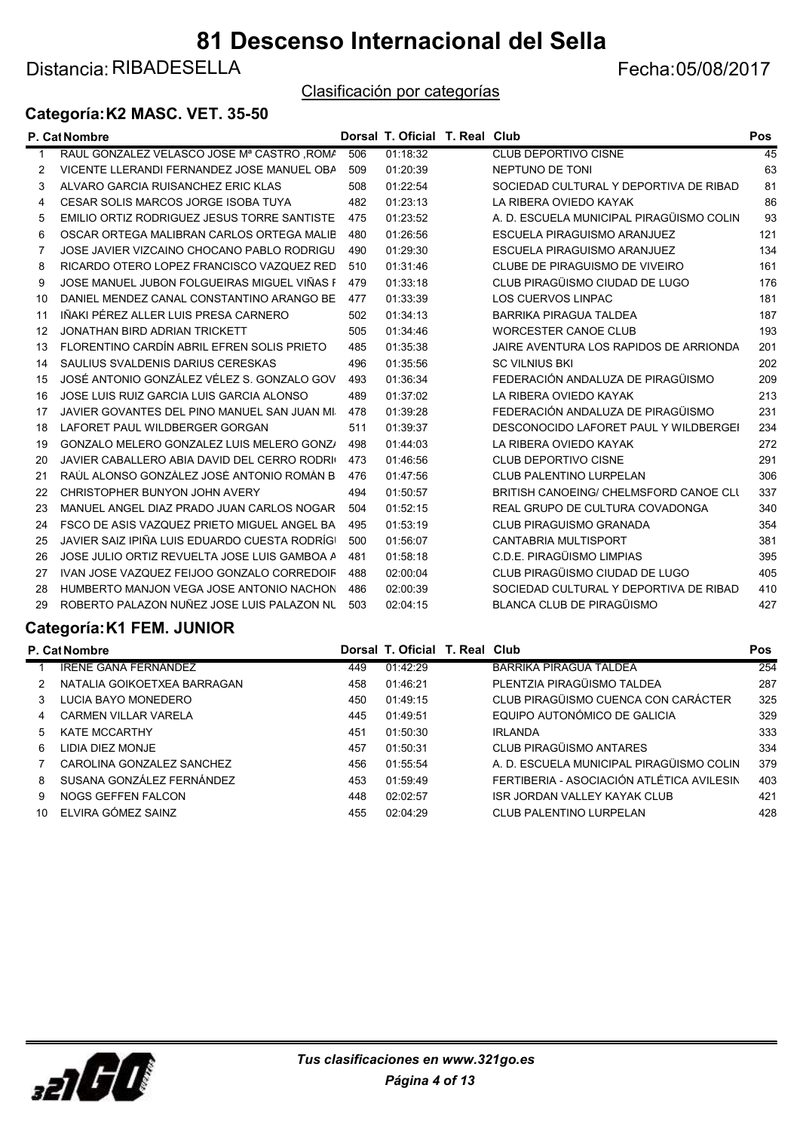Distancia: RIBADESELLA Fecha: 05/08/2017

Clasificación por categorías

#### Categoría:K2 MASC. VET. 35-50

|    | P. Cat Nombre                                 |     | Dorsal T. Oficial T. Real Club |                                          | Pos |
|----|-----------------------------------------------|-----|--------------------------------|------------------------------------------|-----|
| 1  | RAUL GONZALEZ VELASCO JOSE Mª CASTRO , ROMA   | 506 | 01:18:32                       | <b>CLUB DEPORTIVO CISNE</b>              | 45  |
| 2  | VICENTE LLERANDI FERNANDEZ JOSE MANUEL OBA    | 509 | 01:20:39                       | NEPTUNO DE TONI                          | 63  |
| 3  | ALVARO GARCIA RUISANCHEZ ERIC KLAS            | 508 | 01:22:54                       | SOCIEDAD CULTURAL Y DEPORTIVA DE RIBAD   | 81  |
| 4  | CESAR SOLIS MARCOS JORGE ISOBA TUYA           | 482 | 01:23:13                       | LA RIBERA OVIEDO KAYAK                   | 86  |
| 5  | EMILIO ORTIZ RODRIGUEZ JESUS TORRE SANTISTE   | 475 | 01:23:52                       | A. D. ESCUELA MUNICIPAL PIRAGÜISMO COLIN | 93  |
| 6  | OSCAR ORTEGA MALIBRAN CARLOS ORTEGA MALIB     | 480 | 01:26:56                       | ESCUELA PIRAGUISMO ARANJUEZ              | 121 |
| 7  | JOSE JAVIER VIZCAINO CHOCANO PABLO RODRIGU    | 490 | 01:29:30                       | ESCUELA PIRAGUISMO ARANJUEZ              | 134 |
| 8  | RICARDO OTERO LOPEZ FRANCISCO VAZQUEZ RED     | 510 | 01:31:46                       | CLUBE DE PIRAGUISMO DE VIVEIRO           | 161 |
| 9  | JOSE MANUEL JUBON FOLGUEIRAS MIGUEL VIÑAS F   | 479 | 01:33:18                       | CLUB PIRAGÜISMO CIUDAD DE LUGO           | 176 |
| 10 | DANIEL MENDEZ CANAL CONSTANTINO ARANGO BE     | 477 | 01:33:39                       | <b>LOS CUERVOS LINPAC</b>                | 181 |
| 11 | IÑAKI PÉREZ ALLER LUIS PRESA CARNERO          | 502 | 01:34:13                       | <b>BARRIKA PIRAGUA TALDEA</b>            | 187 |
| 12 | JONATHAN BIRD ADRIAN TRICKETT                 | 505 | 01:34:46                       | <b>WORCESTER CANOE CLUB</b>              | 193 |
| 13 | FLORENTINO CARDÍN ABRIL EFREN SOLIS PRIETO    | 485 | 01:35:38                       | JAIRE AVENTURA LOS RAPIDOS DE ARRIONDA   | 201 |
| 14 | SAULIUS SVALDENIS DARIUS CERESKAS             | 496 | 01:35:56                       | <b>SC VILNIUS BKI</b>                    | 202 |
| 15 | JOSÉ ANTONIO GONZÁLEZ VÉLEZ S. GONZALO GOV    | 493 | 01:36:34                       | FEDERACIÓN ANDALUZA DE PIRAGÜISMO        | 209 |
| 16 | JOSE LUIS RUIZ GARCIA LUIS GARCIA ALONSO      | 489 | 01:37:02                       | LA RIBERA OVIEDO KAYAK                   | 213 |
| 17 | JAVIER GOVANTES DEL PINO MANUEL SAN JUAN MI.  | 478 | 01:39:28                       | FEDERACIÓN ANDALUZA DE PIRAGÜISMO        | 231 |
| 18 | LAFORET PAUL WILDBERGER GORGAN                | 511 | 01:39:37                       | DESCONOCIDO LAFORET PAUL Y WILDBERGEI    | 234 |
| 19 | GONZALO MELERO GONZALEZ LUIS MELERO GONZA     | 498 | 01:44:03                       | LA RIBERA OVIEDO KAYAK                   | 272 |
| 20 | JAVIER CABALLERO ABIA DAVID DEL CERRO RODRIO  | 473 | 01:46:56                       | <b>CLUB DEPORTIVO CISNE</b>              | 291 |
| 21 | RAÚL ALONSO GONZÁLEZ JOSÉ ANTONIO ROMÁN B     | 476 | 01:47:56                       | <b>CLUB PALENTINO LURPELAN</b>           | 306 |
| 22 | CHRISTOPHER BUNYON JOHN AVERY                 | 494 | 01:50:57                       | BRITISH CANOEING/ CHELMSFORD CANOE CLU   | 337 |
| 23 | MANUEL ANGEL DIAZ PRADO JUAN CARLOS NOGAR     | 504 | 01:52:15                       | REAL GRUPO DE CULTURA COVADONGA          | 340 |
| 24 | FSCO DE ASIS VAZQUEZ PRIETO MIGUEL ANGEL BA   | 495 | 01:53:19                       | <b>CLUB PIRAGUISMO GRANADA</b>           | 354 |
| 25 | JAVIER SAIZ IPIÑA LUIS EDUARDO CUESTA RODRÍGI | 500 | 01:56:07                       | <b>CANTABRIA MULTISPORT</b>              | 381 |
| 26 | JOSE JULIO ORTIZ REVUELTA JOSE LUIS GAMBOA A  | 481 | 01:58:18                       | C.D.E. PIRAGÜISMO LIMPIAS                | 395 |
| 27 | IVAN JOSE VAZQUEZ FEIJOO GONZALO CORREDOIF    | 488 | 02:00:04                       | CLUB PIRAGÜISMO CIUDAD DE LUGO           | 405 |
| 28 | HUMBERTO MANJON VEGA JOSE ANTONIO NACHON      | 486 | 02:00:39                       | SOCIEDAD CULTURAL Y DEPORTIVA DE RIBAD   | 410 |
| 29 | ROBERTO PALAZON NUÑEZ JOSE LUIS PALAZON NU    | 503 | 02:04:15                       | <b>BLANCA CLUB DE PIRAGÜISMO</b>         | 427 |
|    |                                               |     |                                |                                          |     |

#### Categoría:K1 FEM. JUNIOR

|                             |               |          |                                           | <b>Pos</b>                     |
|-----------------------------|---------------|----------|-------------------------------------------|--------------------------------|
| IRENE GANA FERNÁNDEZ        | 449           | 01:42:29 | <b>BARRIKA PIRAGUA TALDEA</b>             | 254                            |
| NATALIA GOIKOETXEA BARRAGAN | 458           | 01:46:21 | PLENTZIA PIRAGÜISMO TALDEA                | 287                            |
| LUCIA BAYO MONEDERO         | 450           | 01:49:15 | CLUB PIRAGÜISMO CUENCA CON CARÁCTER       | 325                            |
| <b>CARMEN VILLAR VARELA</b> | 445           | 01:49:51 | EQUIPO AUTONÓMICO DE GALICIA              | 329                            |
| <b>KATE MCCARTHY</b>        | 451           | 01:50:30 | <b>IRLANDA</b>                            | 333                            |
| LIDIA DIEZ MONJE            | 457           | 01:50:31 | <b>CLUB PIRAGÜISMO ANTARES</b>            | 334                            |
| CAROLINA GONZALEZ SANCHEZ   | 456           | 01:55:54 | A. D. ESCUELA MUNICIPAL PIRAGÜISMO COLIN  | 379                            |
| SUSANA GONZÁLEZ FERNÁNDEZ   | 453           | 01:59:49 | FERTIBERIA - ASOCIACIÓN ATLÉTICA AVILESIN | 403                            |
| <b>NOGS GEFFEN FALCON</b>   | 448           | 02:02:57 | <b>ISR JORDAN VALLEY KAYAK CLUB</b>       | 421                            |
| ELVIRA GÓMEZ SAINZ          | 455           | 02:04:29 | <b>CLUB PALENTINO LURPELAN</b>            | 428                            |
|                             | P. Cat Nombre |          |                                           | Dorsal T. Oficial T. Real Club |

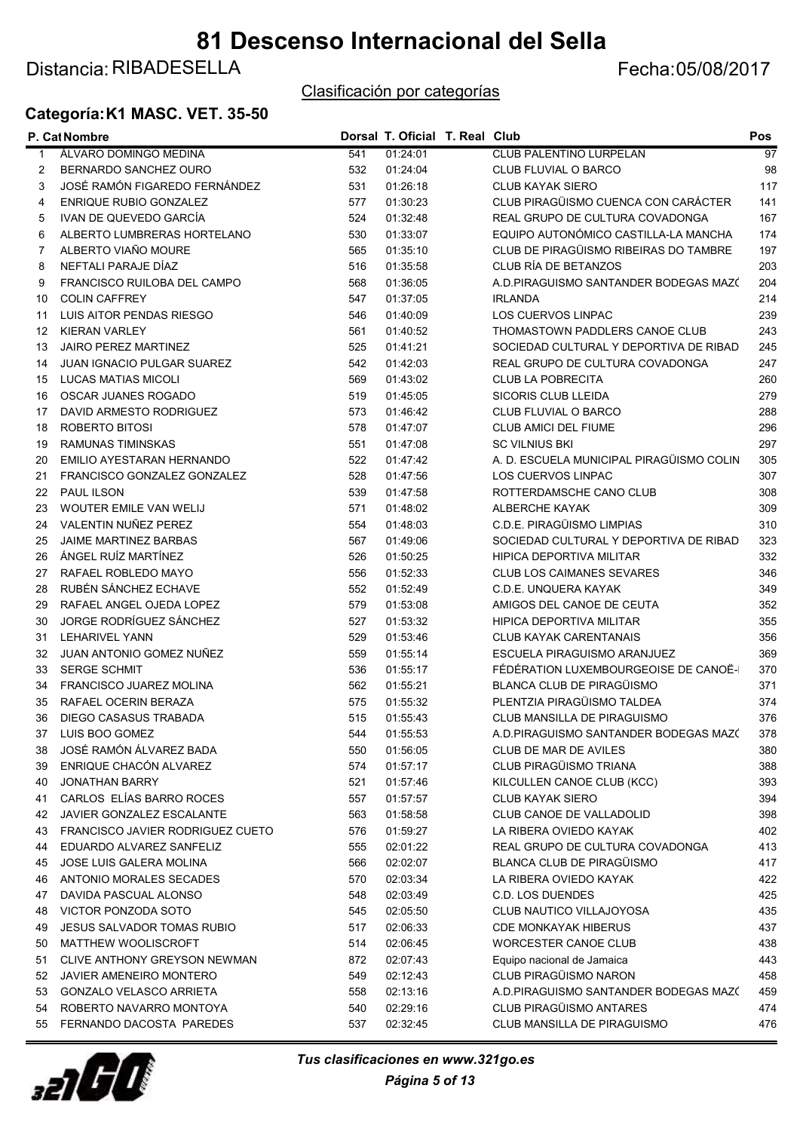### Distancia: RIBADESELLA Fecha: 05/08/2017

#### Clasificación por categorías

### Categoría:K1 MASC. VET. 35-50

|             | P. Cat Nombre                     |     | Dorsal T. Oficial T. Real Club |                                          | Pos             |
|-------------|-----------------------------------|-----|--------------------------------|------------------------------------------|-----------------|
| $\mathbf 1$ | ÁLVARO DOMINGO MEDINA             | 541 | 01.24.01                       | <b>CLUB PALENTINO LURPELAN</b>           | $\overline{97}$ |
| 2           | BERNARDO SANCHEZ OURO             | 532 | 01:24:04                       | CLUB FLUVIAL O BARCO                     | 98              |
| 3           | JOSÉ RAMÓN FIGAREDO FERNÁNDEZ     | 531 | 01:26:18                       | <b>CLUB KAYAK SIERO</b>                  | 117             |
| 4           | ENRIQUE RUBIO GONZALEZ            | 577 | 01:30:23                       | CLUB PIRAGÜISMO CUENCA CON CARÁCTER      | 141             |
| 5           | IVAN DE QUEVEDO GARCÍA            | 524 | 01:32:48                       | REAL GRUPO DE CULTURA COVADONGA          | 167             |
| 6           | ALBERTO LUMBRERAS HORTELANO       | 530 | 01:33:07                       | EQUIPO AUTONÓMICO CASTILLA-LA MANCHA     | 174             |
| 7           | ALBERTO VIAÑO MOURE               | 565 | 01:35:10                       | CLUB DE PIRAGÜISMO RIBEIRAS DO TAMBRE    | 197             |
| 8           | NEFTALI PARAJE DÍAZ               | 516 | 01:35:58                       | CLUB RÍA DE BETANZOS                     | 203             |
| 9           | FRANCISCO RUILOBA DEL CAMPO       | 568 | 01:36:05                       | A.D.PIRAGUISMO SANTANDER BODEGAS MAZO    | 204             |
| 10          | <b>COLIN CAFFREY</b>              | 547 | 01:37:05                       | <b>IRLANDA</b>                           | 214             |
| 11          | LUIS AITOR PENDAS RIESGO          | 546 | 01:40:09                       | <b>LOS CUERVOS LINPAC</b>                | 239             |
| 12          | <b>KIERAN VARLEY</b>              | 561 | 01:40:52                       | THOMASTOWN PADDLERS CANOE CLUB           | 243             |
| 13          | <b>JAIRO PEREZ MARTINEZ</b>       | 525 | 01:41:21                       | SOCIEDAD CULTURAL Y DEPORTIVA DE RIBAD   | 245             |
| 14          | <b>JUAN IGNACIO PULGAR SUAREZ</b> | 542 | 01:42:03                       | REAL GRUPO DE CULTURA COVADONGA          | 247             |
| 15          | <b>LUCAS MATIAS MICOLI</b>        | 569 | 01:43:02                       | <b>CLUB LA POBRECITA</b>                 | 260             |
| 16          | OSCAR JUANES ROGADO               | 519 | 01:45:05                       | SICORIS CLUB LLEIDA                      | 279             |
| 17          | DAVID ARMESTO RODRIGUEZ           | 573 | 01:46:42                       | CLUB FLUVIAL O BARCO                     | 288             |
| 18          | ROBERTO BITOSI                    | 578 | 01:47:07                       | <b>CLUB AMICI DEL FIUME</b>              | 296             |
| 19          | <b>RAMUNAS TIMINSKAS</b>          | 551 | 01:47:08                       | <b>SC VILNIUS BKI</b>                    | 297             |
| 20          | EMILIO AYESTARAN HERNANDO         | 522 | 01:47:42                       | A. D. ESCUELA MUNICIPAL PIRAGÜISMO COLIN | 305             |
| 21          | FRANCISCO GONZALEZ GONZALEZ       | 528 | 01:47:56                       | <b>LOS CUERVOS LINPAC</b>                | 307             |
| 22          | <b>PAUL ILSON</b>                 | 539 | 01:47:58                       | ROTTERDAMSCHE CANO CLUB                  | 308             |
| 23          | WOUTER EMILE VAN WELIJ            | 571 | 01:48:02                       | <b>ALBERCHE KAYAK</b>                    | 309             |
| 24          | VALENTIN NUÑEZ PEREZ              | 554 | 01:48:03                       | C.D.E. PIRAGÜISMO LIMPIAS                | 310             |
| 25          | <b>JAIME MARTINEZ BARBAS</b>      | 567 | 01:49:06                       | SOCIEDAD CULTURAL Y DEPORTIVA DE RIBAD   | 323             |
| 26          | ÁNGEL RUÍZ MARTÍNEZ               | 526 | 01:50:25                       | <b>HIPICA DEPORTIVA MILITAR</b>          | 332             |
| 27          | RAFAEL ROBLEDO MAYO               | 556 | 01:52:33                       | <b>CLUB LOS CAIMANES SEVARES</b>         | 346             |
| 28          | RUBÉN SÁNCHEZ ECHAVE              | 552 | 01:52:49                       | C.D.E. UNQUERA KAYAK                     | 349             |
| 29          | RAFAEL ANGEL OJEDA LOPEZ          | 579 | 01:53:08                       | AMIGOS DEL CANOE DE CEUTA                | 352             |
| 30          | JORGE RODRÍGUEZ SÁNCHEZ           | 527 | 01:53:32                       | HIPICA DEPORTIVA MILITAR                 | 355             |
|             | <b>LEHARIVEL YANN</b>             | 529 | 01:53:46                       | <b>CLUB KAYAK CARENTANAIS</b>            | 356             |
| 31          | JUAN ANTONIO GOMEZ NUÑEZ          |     |                                |                                          |                 |
| 32          |                                   | 559 | 01:55:14                       | ESCUELA PIRAGUISMO ARANJUEZ              | 369             |
| 33          | <b>SERGE SCHMIT</b>               | 536 | 01:55:17                       | FÉDÉRATION LUXEMBOURGEOISE DE CANOË-     | 370             |
| 34          | <b>FRANCISCO JUAREZ MOLINA</b>    | 562 | 01:55:21                       | <b>BLANCA CLUB DE PIRAGÜISMO</b>         | 371             |
| 35          | RAFAEL OCERIN BERAZA              | 575 | 01:55:32                       | PLENTZIA PIRAGÜISMO TALDEA               | 374             |
| 36          | DIEGO CASASUS TRABADA             | 515 | 01:55:43                       | CLUB MANSILLA DE PIRAGUISMO              | 376             |
|             | 37 LUIS BOO GOMEZ                 | 544 | 01:55:53                       | A.D.PIRAGUISMO SANTANDER BODEGAS MAZ(    | 378             |
| 38          | JOSÉ RAMÓN ÁLVAREZ BADA           | 550 | 01:56:05                       | <b>CLUB DE MAR DE AVILES</b>             | 380             |
| 39          | ENRIQUE CHACÓN ALVAREZ            | 574 | 01:57:17                       | CLUB PIRAGÜISMO TRIANA                   | 388             |
| 40          | <b>JONATHAN BARRY</b>             | 521 | 01:57:46                       | KILCULLEN CANOE CLUB (KCC)               | 393             |
| 41          | CARLOS ELÍAS BARRO ROCES          | 557 | 01:57:57                       | <b>CLUB KAYAK SIERO</b>                  | 394             |
| 42          | JAVIER GONZALEZ ESCALANTE         | 563 | 01:58:58                       | CLUB CANOE DE VALLADOLID                 | 398             |
| 43          | FRANCISCO JAVIER RODRIGUEZ CUETO  | 576 | 01:59:27                       | LA RIBERA OVIEDO KAYAK                   | 402             |
| 44          | EDUARDO ALVAREZ SANFELIZ          | 555 | 02:01:22                       | REAL GRUPO DE CULTURA COVADONGA          | 413             |
| 45          | JOSE LUIS GALERA MOLINA           | 566 | 02:02:07                       | <b>BLANCA CLUB DE PIRAGÜISMO</b>         | 417             |
| 46          | ANTONIO MORALES SECADES           | 570 | 02:03:34                       | LA RIBERA OVIEDO KAYAK                   | 422             |
| 47          | DAVIDA PASCUAL ALONSO             | 548 | 02:03:49                       | <b>C.D. LOS DUENDES</b>                  | 425             |
| 48          | VICTOR PONZODA SOTO               | 545 | 02:05:50                       | CLUB NAUTICO VILLAJOYOSA                 | 435             |
| 49          | <b>JESUS SALVADOR TOMAS RUBIO</b> | 517 | 02:06:33                       | <b>CDE MONKAYAK HIBERUS</b>              | 437             |
| 50          | <b>MATTHEW WOOLISCROFT</b>        | 514 | 02:06:45                       | WORCESTER CANOE CLUB                     | 438             |
| 51          | CLIVE ANTHONY GREYSON NEWMAN      | 872 | 02:07:43                       | Equipo nacional de Jamaica               | 443             |
| 52          | <b>JAVIER AMENEIRO MONTERO</b>    | 549 | 02:12:43                       | CLUB PIRAGÜISMO NARON                    | 458             |
| 53          | <b>GONZALO VELASCO ARRIETA</b>    | 558 | 02:13:16                       | A.D.PIRAGUISMO SANTANDER BODEGAS MAZ(    | 459             |
| 54          | ROBERTO NAVARRO MONTOYA           | 540 | 02:29:16                       | <b>CLUB PIRAGÜISMO ANTARES</b>           | 474             |
| 55          | FERNANDO DACOSTA PAREDES          | 537 | 02:32:45                       | CLUB MANSILLA DE PIRAGUISMO              | 476             |



Página 5 of 13 Tus clasificaciones en www.321go.es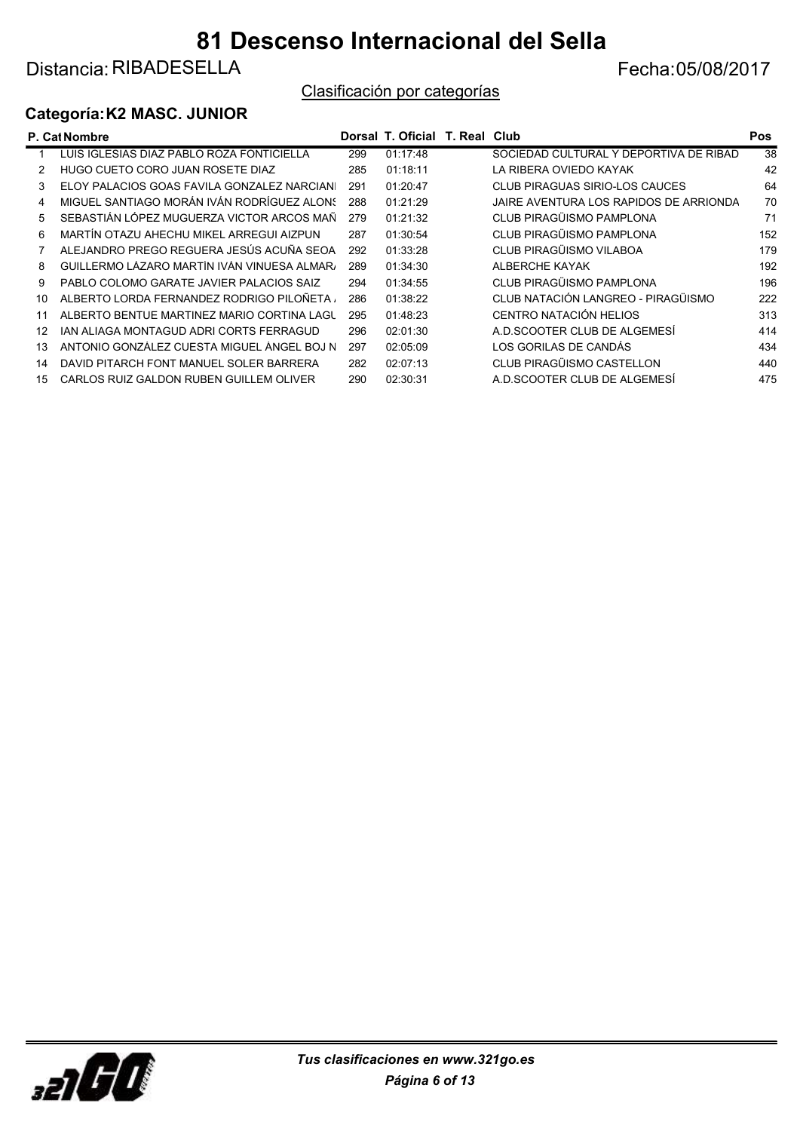Distancia: RIBADESELLA Fecha: 05/08/2017

#### Clasificación por categorías

#### Categoría:K2 MASC. JUNIOR

|    | <b>P. Cat Nombre</b>                        |     | Dorsal T. Oficial T. Real Club |                                        | Pos             |
|----|---------------------------------------------|-----|--------------------------------|----------------------------------------|-----------------|
|    | LUIS IGLESIAS DIAZ PABLO ROZA FONTICIELLA   | 299 | 01:17:48                       | SOCIEDAD CULTURAL Y DEPORTIVA DE RIBAD | $\overline{38}$ |
|    | HUGO CUETO CORO JUAN ROSETE DIAZ            | 285 | 01:18:11                       | LA RIBERA OVIEDO KAYAK                 | 42              |
| 3  | ELOY PALACIOS GOAS FAVILA GONZALEZ NARCIANI | 291 | 01:20:47                       | CLUB PIRAGUAS SIRIO-LOS CAUCES         | 64              |
| 4  | MIGUEL SANTIAGO MORÁN IVÁN RODRÍGUEZ ALONS  | 288 | 01:21:29                       | JAIRE AVENTURA LOS RAPIDOS DE ARRIONDA | 70              |
| 5  | SEBASTIÁN LÓPEZ MUGUERZA VICTOR ARCOS MAÑ   | 279 | 01:21:32                       | CLUB PIRAGÜISMO PAMPLONA               | 71              |
| 6  | MARTÍN OTAZU AHECHU MIKEL ARREGUI AIZPUN    | 287 | 01:30:54                       | CLUB PIRAGÜISMO PAMPLONA               | 152             |
|    | ALEJANDRO PREGO REGUERA JESÚS ACUÑA SEOA    | 292 | 01:33:28                       | CLUB PIRAGÜISMO VILABOA                | 179             |
| 8  | GUILLERMO LÁZARO MARTÍN IVÁN VINUESA ALMARA | 289 | 01:34:30                       | ALBERCHE KAYAK                         | 192             |
| 9  | PABLO COLOMO GARATE JAVIER PALACIOS SAIZ    | 294 | 01:34:55                       | CLUB PIRAGÜISMO PAMPLONA               | 196             |
| 10 | ALBERTO LORDA FERNANDEZ RODRIGO PILOÑETA    | 286 | 01:38:22                       | CLUB NATACIÓN LANGREO - PIRAGÜISMO     | 222             |
| 11 | ALBERTO BENTUE MARTINEZ MARIO CORTINA LAGL  | 295 | 01:48:23                       | CENTRO NATACIÓN HELIOS                 | 313             |
| 12 | IAN ALIAGA MONTAGUD ADRI CORTS FERRAGUD     | 296 | 02:01:30                       | A D SCOOTER CLUB DE ALGEMESÍ           | 414             |
| 13 | ANTONIO GONZÁLEZ CUESTA MIGUEL ÁNGEL BOJ N  | 297 | 02:05:09                       | LOS GORILAS DE CANDÁS                  | 434             |
| 14 | DAVID PITARCH FONT MANUEL SOLER BARRERA     | 282 | 02:07:13                       | CLUB PIRAGÜISMO CASTELLON              | 440             |
| 15 | CARLOS RUIZ GALDON RUBEN GUILLEM OLIVER     | 290 | 02:30:31                       | A.D.SCOOTER CLUB DE ALGEMESÍ           | 475             |
|    |                                             |     |                                |                                        |                 |

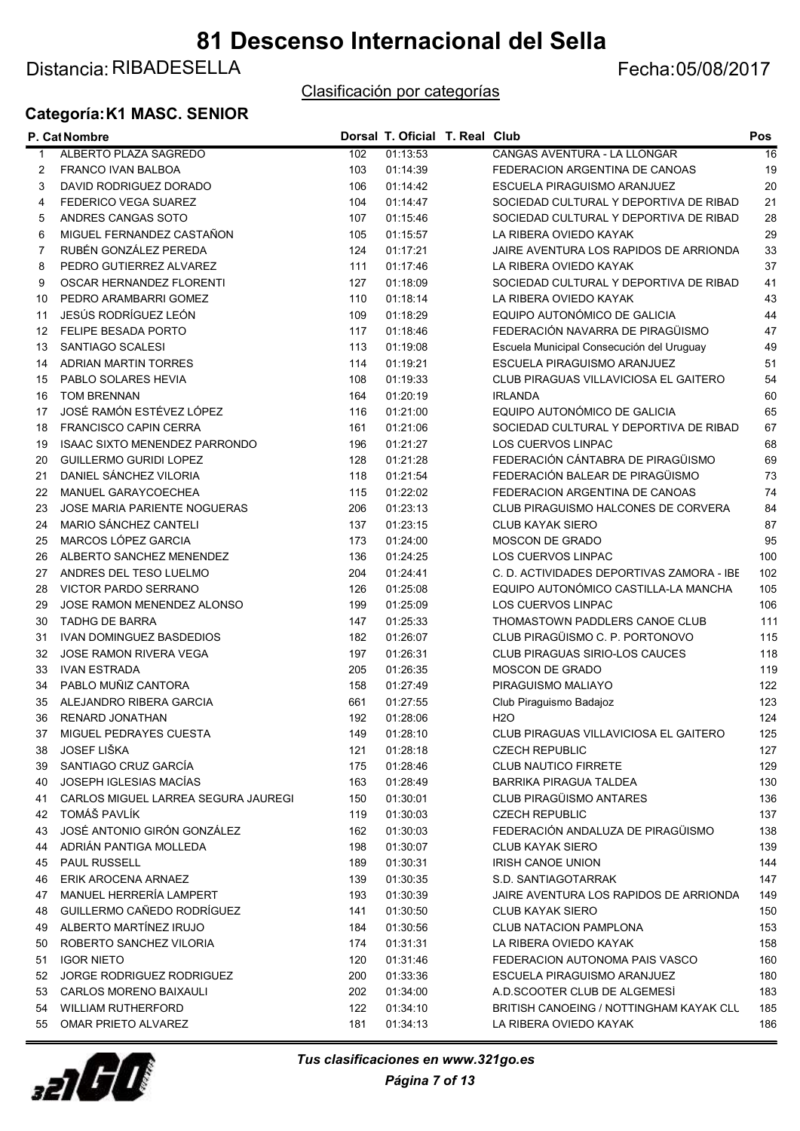### Distancia: RIBADESELLA Fecha: 05/08/2017

#### Clasificación por categorías

#### Categoría:K1 MASC. SENIOR

|    | P. Cat Nombre                        |     | Dorsal T. Oficial T. Real Club |                                           | Pos |
|----|--------------------------------------|-----|--------------------------------|-------------------------------------------|-----|
| 1  | ALBERTO PLAZA SAGREDO                | 102 | 01:13:53                       | CANGAS AVENTURA - LA LLONGAR              | 16  |
| 2  | <b>FRANCO IVAN BALBOA</b>            | 103 | 01:14:39                       | FEDERACION ARGENTINA DE CANOAS            | 19  |
| 3  | DAVID RODRIGUEZ DORADO               | 106 | 01:14:42                       | ESCUELA PIRAGUISMO ARANJUEZ               | 20  |
| 4  | FEDERICO VEGA SUAREZ                 | 104 | 01:14:47                       | SOCIEDAD CULTURAL Y DEPORTIVA DE RIBAD    | 21  |
| 5  | ANDRES CANGAS SOTO                   | 107 | 01:15:46                       | SOCIEDAD CULTURAL Y DEPORTIVA DE RIBAD    | 28  |
| 6  | MIGUEL FERNANDEZ CASTAÑON            | 105 | 01:15:57                       | LA RIBERA OVIEDO KAYAK                    | 29  |
| 7  | RUBÉN GONZÁLEZ PEREDA                | 124 | 01:17:21                       | JAIRE AVENTURA LOS RAPIDOS DE ARRIONDA    | 33  |
| 8  | PEDRO GUTIERREZ ALVAREZ              | 111 | 01:17:46                       | LA RIBERA OVIEDO KAYAK                    | 37  |
| 9  | OSCAR HERNANDEZ FLORENTI             | 127 | 01:18:09                       | SOCIEDAD CULTURAL Y DEPORTIVA DE RIBAD    | 41  |
| 10 | PEDRO ARAMBARRI GOMEZ                | 110 | 01:18:14                       | LA RIBERA OVIEDO KAYAK                    | 43  |
| 11 | JESÚS RODRÍGUEZ LEÓN                 | 109 | 01:18:29                       | EQUIPO AUTONÓMICO DE GALICIA              | 44  |
| 12 | FELIPE BESADA PORTO                  | 117 | 01:18:46                       | FEDERACIÓN NAVARRA DE PIRAGÜISMO          | 47  |
| 13 | SANTIAGO SCALESI                     | 113 | 01:19:08                       | Escuela Municipal Consecución del Uruguay | 49  |
| 14 | <b>ADRIAN MARTIN TORRES</b>          | 114 | 01:19:21                       | ESCUELA PIRAGUISMO ARANJUEZ               | 51  |
| 15 | PABLO SOLARES HEVIA                  | 108 | 01:19:33                       | CLUB PIRAGUAS VILLAVICIOSA EL GAITERO     | 54  |
| 16 | <b>TOM BRENNAN</b>                   | 164 | 01:20:19                       | <b>IRLANDA</b>                            | 60  |
| 17 | JOSÉ RAMÓN ESTÉVEZ LÓPEZ             | 116 | 01:21:00                       | EQUIPO AUTONÓMICO DE GALICIA              | 65  |
| 18 | <b>FRANCISCO CAPIN CERRA</b>         | 161 | 01:21:06                       | SOCIEDAD CULTURAL Y DEPORTIVA DE RIBAD    | 67  |
| 19 | <b>ISAAC SIXTO MENENDEZ PARRONDO</b> | 196 | 01:21:27                       | LOS CUERVOS LINPAC                        | 68  |
| 20 | <b>GUILLERMO GURIDI LOPEZ</b>        | 128 | 01:21:28                       | FEDERACIÓN CÁNTABRA DE PIRAGÜISMO         | 69  |
| 21 | DANIEL SÁNCHEZ VILORIA               | 118 | 01:21:54                       | FEDERACIÓN BALEAR DE PIRAGÜISMO           | 73  |
| 22 | MANUEL GARAYCOECHEA                  | 115 | 01:22:02                       | FEDERACION ARGENTINA DE CANOAS            | 74  |
| 23 | <b>JOSE MARIA PARIENTE NOGUERAS</b>  | 206 | 01:23:13                       | CLUB PIRAGUISMO HALCONES DE CORVERA       | 84  |
| 24 | MARIO SÁNCHEZ CANTELI                | 137 | 01:23:15                       | <b>CLUB KAYAK SIERO</b>                   | 87  |
| 25 | MARCOS LÓPEZ GARCIA                  | 173 | 01:24:00                       | MOSCON DE GRADO                           | 95  |
| 26 | ALBERTO SANCHEZ MENENDEZ             | 136 | 01:24:25                       | LOS CUERVOS LINPAC                        | 100 |
| 27 | ANDRES DEL TESO LUELMO               | 204 | 01:24:41                       | C. D. ACTIVIDADES DEPORTIVAS ZAMORA - IBE | 102 |
| 28 | <b>VICTOR PARDO SERRANO</b>          | 126 | 01:25:08                       | EQUIPO AUTONÓMICO CASTILLA-LA MANCHA      | 105 |
| 29 | JOSE RAMON MENENDEZ ALONSO           | 199 | 01:25:09                       | LOS CUERVOS LINPAC                        | 106 |
| 30 | <b>TADHG DE BARRA</b>                | 147 | 01:25:33                       | THOMASTOWN PADDLERS CANOE CLUB            | 111 |
| 31 | <b>IVAN DOMINGUEZ BASDEDIOS</b>      | 182 | 01:26:07                       | CLUB PIRAGÜISMO C. P. PORTONOVO           | 115 |
| 32 | JOSE RAMON RIVERA VEGA               | 197 | 01:26:31                       | <b>CLUB PIRAGUAS SIRIO-LOS CAUCES</b>     | 118 |
| 33 | <b>IVAN ESTRADA</b>                  | 205 | 01:26:35                       | MOSCON DE GRADO                           | 119 |
| 34 | PABLO MUÑIZ CANTORA                  | 158 | 01:27:49                       | PIRAGUISMO MALIAYO                        | 122 |
| 35 | ALEJANDRO RIBERA GARCIA              | 661 | 01:27:55                       | Club Piraguismo Badajoz                   | 123 |
| 36 | RENARD JONATHAN                      | 192 | 01:28:06                       | <b>H2O</b>                                | 124 |
|    | 37 MIGUEL PEDRAYES CUESTA            |     | 149 01:28:10                   | CLUB PIRAGUAS VILLAVICIOSA EL GAITERO     | 125 |
| 38 | JOSEF LIŠKA                          | 121 | 01:28:18                       | <b>CZECH REPUBLIC</b>                     | 127 |
| 39 | SANTIAGO CRUZ GARCÍA                 | 175 | 01:28:46                       | <b>CLUB NAUTICO FIRRETE</b>               | 129 |
| 40 | JOSEPH IGLESIAS MACÍAS               | 163 | 01:28:49                       | <b>BARRIKA PIRAGUA TALDEA</b>             | 130 |
| 41 | CARLOS MIGUEL LARREA SEGURA JAUREGI  | 150 | 01:30:01                       | <b>CLUB PIRAGÜISMO ANTARES</b>            | 136 |
| 42 | TOMÁŠ PAVLÍK                         | 119 | 01:30:03                       | <b>CZECH REPUBLIC</b>                     | 137 |
| 43 | JOSÉ ANTONIO GIRÓN GONZÁLEZ          | 162 | 01:30:03                       | FEDERACIÓN ANDALUZA DE PIRAGÜISMO         | 138 |
| 44 | ADRIÁN PANTIGA MOLLEDA               | 198 | 01:30:07                       | <b>CLUB KAYAK SIERO</b>                   | 139 |
| 45 | <b>PAUL RUSSELL</b>                  | 189 | 01:30:31                       | <b>IRISH CANOE UNION</b>                  | 144 |
| 46 | ERIK AROCENA ARNAEZ                  | 139 | 01:30:35                       | S.D. SANTIAGOTARRAK                       | 147 |
| 47 | MANUEL HERRERÍA LAMPERT              | 193 | 01:30:39                       | JAIRE AVENTURA LOS RAPIDOS DE ARRIONDA    | 149 |
| 48 | GUILLERMO CAÑEDO RODRÍGUEZ           | 141 | 01:30:50                       | <b>CLUB KAYAK SIERO</b>                   | 150 |
|    | ALBERTO MARTÍNEZ IRUJO               |     |                                |                                           |     |
| 49 | ROBERTO SANCHEZ VILORIA              | 184 | 01:30:56                       | <b>CLUB NATACION PAMPLONA</b>             | 153 |
| 50 |                                      | 174 | 01:31:31                       | LA RIBERA OVIEDO KAYAK                    | 158 |
| 51 | <b>IGOR NIETO</b>                    | 120 | 01:31:46                       | FEDERACION AUTONOMA PAIS VASCO            | 160 |
| 52 | JORGE RODRIGUEZ RODRIGUEZ            | 200 | 01:33:36                       | ESCUELA PIRAGUISMO ARANJUEZ               | 180 |
| 53 | CARLOS MORENO BAIXAULI               | 202 | 01:34:00                       | A.D.SCOOTER CLUB DE ALGEMESI              | 183 |
| 54 | <b>WILLIAM RUTHERFORD</b>            | 122 | 01:34:10                       | BRITISH CANOEING / NOTTINGHAM KAYAK CLL   | 185 |
| 55 | <b>OMAR PRIETO ALVAREZ</b>           | 181 | 01:34:13                       | LA RIBERA OVIEDO KAYAK                    | 186 |

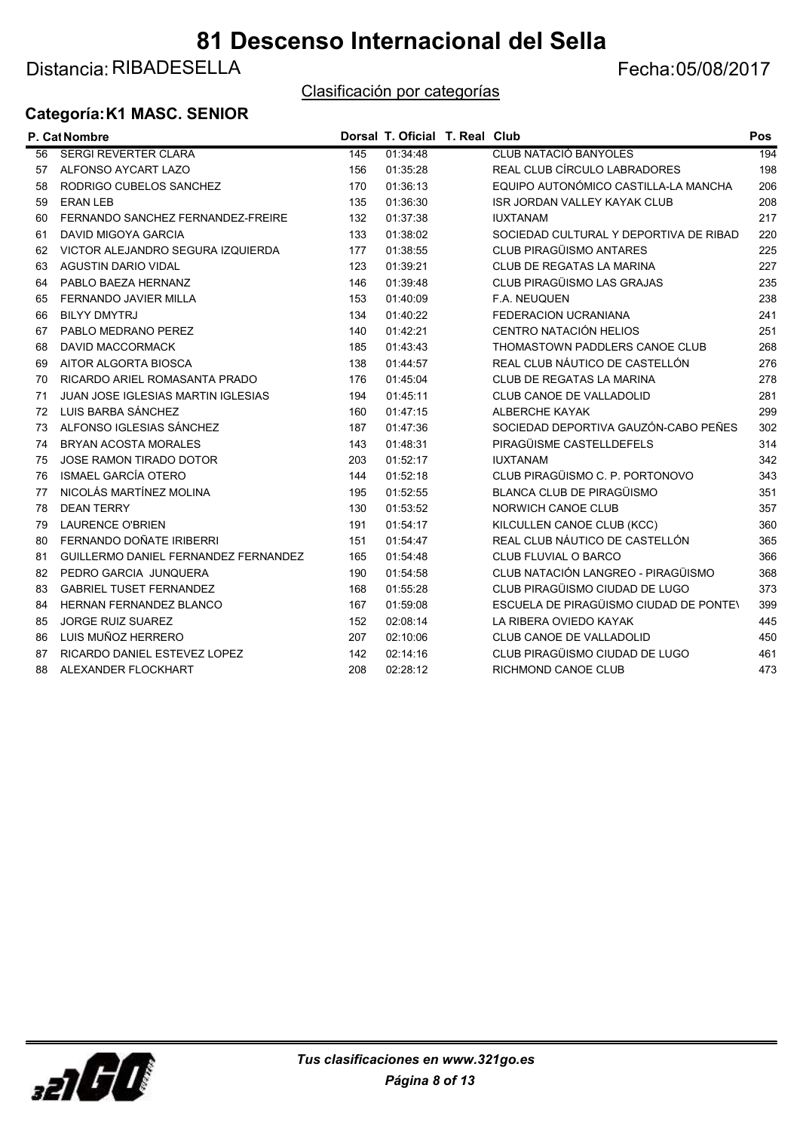### Distancia: RIBADESELLA Fecha: 05/08/2017

#### Clasificación por categorías

#### Categoría:K1 MASC. SENIOR

|    | P. Cat Nombre                               |     | Dorsal T. Oficial T. Real Club |                                        | <b>Pos</b> |
|----|---------------------------------------------|-----|--------------------------------|----------------------------------------|------------|
| 56 | <b>SERGI REVERTER CLARA</b>                 | 145 | 01:34:48                       | <b>CLUB NATACIÓ BANYOLES</b>           | 194        |
| 57 | ALFONSO AYCART LAZO                         | 156 | 01:35:28                       | REAL CLUB CÍRCULO LABRADORES           | 198        |
| 58 | RODRIGO CUBELOS SANCHEZ                     | 170 | 01:36:13                       | EQUIPO AUTONÓMICO CASTILLA-LA MANCHA   | 206        |
| 59 | <b>ERAN LEB</b>                             | 135 | 01:36:30                       | ISR JORDAN VALLEY KAYAK CLUB           | 208        |
| 60 | FERNANDO SANCHEZ FERNANDEZ-FREIRE           | 132 | 01:37:38                       | <b>IUXTANAM</b>                        | 217        |
| 61 | DAVID MIGOYA GARCIA                         | 133 | 01:38:02                       | SOCIEDAD CULTURAL Y DEPORTIVA DE RIBAD | 220        |
| 62 | VICTOR ALEJANDRO SEGURA IZQUIERDA           | 177 | 01:38:55                       | <b>CLUB PIRAGÜISMO ANTARES</b>         | 225        |
| 63 | <b>AGUSTIN DARIO VIDAL</b>                  | 123 | 01:39:21                       | <b>CLUB DE REGATAS LA MARINA</b>       | 227        |
| 64 | PABLO BAEZA HERNANZ                         | 146 | 01:39:48                       | CLUB PIRAGÜISMO LAS GRAJAS             | 235        |
| 65 | FERNANDO JAVIER MILLA                       | 153 | 01:40:09                       | F.A. NEUQUEN                           | 238        |
| 66 | <b>BILYY DMYTRJ</b>                         | 134 | 01:40:22                       | <b>FEDERACION UCRANIANA</b>            | 241        |
| 67 | PABLO MEDRANO PEREZ                         | 140 | 01:42:21                       | CENTRO NATACIÓN HELIOS                 | 251        |
| 68 | <b>DAVID MACCORMACK</b>                     | 185 | 01:43:43                       | THOMASTOWN PADDLERS CANOE CLUB         | 268        |
| 69 | AITOR ALGORTA BIOSCA                        | 138 | 01:44:57                       | REAL CLUB NÁUTICO DE CASTELLÓN         | 276        |
| 70 | RICARDO ARIEL ROMASANTA PRADO               | 176 | 01:45:04                       | <b>CLUB DE REGATAS LA MARINA</b>       | 278        |
| 71 | <b>JUAN JOSE IGLESIAS MARTIN IGLESIAS</b>   | 194 | 01:45:11                       | CLUB CANOE DE VALLADOLID               | 281        |
| 72 | LUIS BARBA SÁNCHEZ                          | 160 | 01:47:15                       | <b>ALBERCHE KAYAK</b>                  | 299        |
| 73 | ALFONSO IGLESIAS SÁNCHEZ                    | 187 | 01:47:36                       | SOCIEDAD DEPORTIVA GAUZÓN-CABO PEÑES   | 302        |
| 74 | <b>BRYAN ACOSTA MORALES</b>                 | 143 | 01:48:31                       | PIRAGÜISME CASTELLDEFELS               | 314        |
| 75 | <b>JOSE RAMON TIRADO DOTOR</b>              | 203 | 01:52:17                       | <b>IUXTANAM</b>                        | 342        |
| 76 | <b>ISMAEL GARCÍA OTERO</b>                  | 144 | 01:52:18                       | CLUB PIRAGÜISMO C. P. PORTONOVO        | 343        |
| 77 | NICOLÁS MARTÍNEZ MOLINA                     | 195 | 01:52:55                       | <b>BLANCA CLUB DE PIRAGÜISMO</b>       | 351        |
| 78 | <b>DEAN TERRY</b>                           | 130 | 01:53:52                       | NORWICH CANOE CLUB                     | 357        |
| 79 | <b>LAURENCE O'BRIEN</b>                     | 191 | 01:54:17                       | KILCULLEN CANOE CLUB (KCC)             | 360        |
| 80 | FERNANDO DOÑATE IRIBERRI                    | 151 | 01:54:47                       | REAL CLUB NÁUTICO DE CASTELLÓN         | 365        |
| 81 | <b>GUILLERMO DANIEL FERNANDEZ FERNANDEZ</b> | 165 | 01:54:48                       | CLUB FLUVIAL O BARCO                   | 366        |
| 82 | PEDRO GARCIA JUNQUERA                       | 190 | 01:54:58                       | CLUB NATACIÓN LANGREO - PIRAGÜISMO     | 368        |
| 83 | <b>GABRIEL TUSET FERNANDEZ</b>              | 168 | 01:55:28                       | CLUB PIRAGÜISMO CIUDAD DE LUGO         | 373        |
| 84 | <b>HERNAN FERNANDEZ BLANCO</b>              | 167 | 01:59:08                       | ESCUELA DE PIRAGÜISMO CIUDAD DE PONTEN | 399        |
| 85 | <b>JORGE RUIZ SUAREZ</b>                    | 152 | 02:08:14                       | LA RIBERA OVIEDO KAYAK                 | 445        |
| 86 | LUIS MUÑOZ HERRERO                          | 207 | 02:10:06                       | CLUB CANOE DE VALLADOLID               | 450        |
| 87 | RICARDO DANIEL ESTEVEZ LOPEZ                | 142 | 02:14:16                       | CLUB PIRAGÜISMO CIUDAD DE LUGO         | 461        |
| 88 | ALEXANDER FLOCKHART                         | 208 | 02:28:12                       | RICHMOND CANOE CLUB                    | 473        |

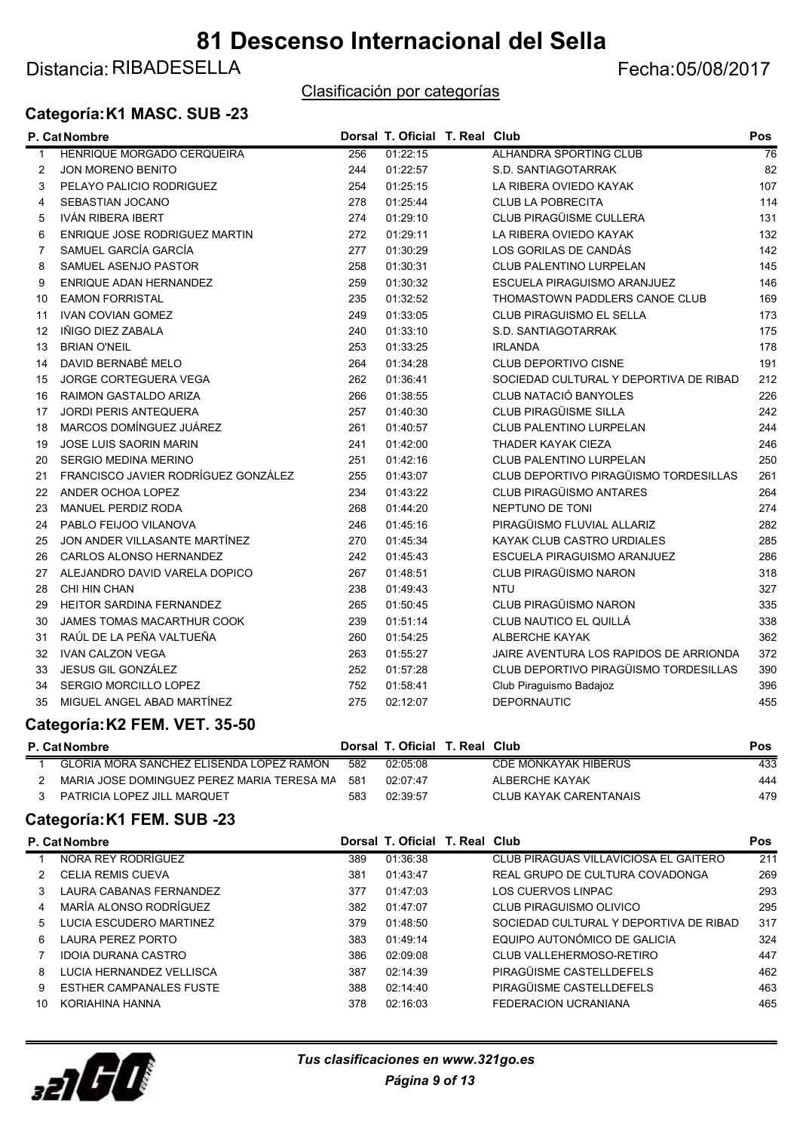### Distancia: RIBADESELLA Fecha: 05/08/2017

#### Categoría:K1 MASC. SUB -23

#### Clasificación por categorías

|                | P. Cat Nombre                       |     | Dorsal T. Oficial T. Real Club |                                        | Pos |
|----------------|-------------------------------------|-----|--------------------------------|----------------------------------------|-----|
| -1             | <b>HENRIQUE MORGADO CERQUEIRA</b>   | 256 | 01:22:15                       | <b>ALHANDRA SPORTING CLUB</b>          | 76  |
| 2              | <b>JON MORENO BENITO</b>            | 244 | 01:22:57                       | S.D. SANTIAGOTARRAK                    | 82  |
| 3              | PELAYO PALICIO RODRIGUEZ            | 254 | 01:25:15                       | LA RIBERA OVIEDO KAYAK                 | 107 |
| 4              | SEBASTIAN JOCANO                    | 278 | 01:25:44                       | <b>CLUB LA POBRECITA</b>               | 114 |
| 5              | <b>IVÁN RIBERA IBERT</b>            | 274 | 01:29:10                       | CLUB PIRAGÜISME CULLERA                | 131 |
| 6              | ENRIQUE JOSE RODRIGUEZ MARTIN       | 272 | 01:29:11                       | LA RIBERA OVIEDO KAYAK                 | 132 |
| $\overline{7}$ | SAMUEL GARCÍA GARCÍA                | 277 | 01:30:29                       | LOS GORILAS DE CANDÁS                  | 142 |
| 8              | SAMUEL ASENJO PASTOR                | 258 | 01:30:31                       | <b>CLUB PALENTINO LURPELAN</b>         | 145 |
| 9              | ENRIQUE ADAN HERNANDEZ              | 259 | 01:30:32                       | ESCUELA PIRAGUISMO ARANJUEZ            | 146 |
| 10             | <b>EAMON FORRISTAL</b>              | 235 | 01:32:52                       | THOMASTOWN PADDLERS CANOE CLUB         | 169 |
| 11             | <b>IVAN COVIAN GOMEZ</b>            | 249 | 01:33:05                       | <b>CLUB PIRAGUISMO EL SELLA</b>        | 173 |
| 12             | IÑIGO DIEZ ZABALA                   | 240 | 01:33:10                       | S.D. SANTIAGOTARRAK                    | 175 |
| 13             | <b>BRIAN O'NEIL</b>                 | 253 | 01:33:25                       | <b>IRLANDA</b>                         | 178 |
| 14             | DAVID BERNABÉ MELO                  | 264 | 01:34:28                       | <b>CLUB DEPORTIVO CISNE</b>            | 191 |
| 15             | JORGE CORTEGUERA VEGA               | 262 | 01:36:41                       | SOCIEDAD CULTURAL Y DEPORTIVA DE RIBAD | 212 |
| 16             | <b>RAIMON GASTALDO ARIZA</b>        | 266 | 01:38:55                       | <b>CLUB NATACIÓ BANYOLES</b>           | 226 |
| 17             | <b>JORDI PERIS ANTEQUERA</b>        | 257 | 01:40:30                       | CLUB PIRAGÜISME SILLA                  | 242 |
| 18             | MARCOS DOMÍNGUEZ JUÁREZ             | 261 | 01:40:57                       | <b>CLUB PALENTINO LURPELAN</b>         | 244 |
| 19             | <b>JOSE LUIS SAORIN MARIN</b>       | 241 | 01:42:00                       | <b>THADER KAYAK CIEZA</b>              | 246 |
| 20             | <b>SERGIO MEDINA MERINO</b>         | 251 | 01:42:16                       | <b>CLUB PALENTINO LURPELAN</b>         | 250 |
| 21             | FRANCISCO JAVIER RODRÍGUEZ GONZÁLEZ | 255 | 01:43:07                       | CLUB DEPORTIVO PIRAGÜISMO TORDESILLAS  | 261 |
| 22             | ANDER OCHOA LOPEZ                   | 234 | 01:43:22                       | <b>CLUB PIRAGÜISMO ANTARES</b>         | 264 |
| 23             | <b>MANUEL PERDIZ RODA</b>           | 268 | 01:44:20                       | NEPTUNO DE TONI                        | 274 |
| 24             | PABLO FEIJOO VILANOVA               | 246 | 01:45:16                       | PIRAGÜISMO FLUVIAL ALLARIZ             | 282 |
| 25             | JON ANDER VILLASANTE MARTÍNEZ       | 270 | 01:45:34                       | KAYAK CLUB CASTRO URDIALES             | 285 |
| 26             | <b>CARLOS ALONSO HERNANDEZ</b>      | 242 | 01:45:43                       | ESCUELA PIRAGUISMO ARANJUEZ            | 286 |
| 27             | ALEJANDRO DAVID VARELA DOPICO       | 267 | 01:48:51                       | <b>CLUB PIRAGÜISMO NARON</b>           | 318 |
| 28             | CHI HIN CHAN                        | 238 | 01:49:43                       | <b>NTU</b>                             | 327 |
| 29             | <b>HEITOR SARDINA FERNANDEZ</b>     | 265 | 01:50:45                       | CLUB PIRAGÜISMO NARON                  | 335 |
| 30             | JAMES TOMAS MACARTHUR COOK          | 239 | 01:51:14                       | CLUB NAUTICO EL QUILLÁ                 | 338 |
| 31             | RAÚL DE LA PEÑA VALTUEÑA            | 260 | 01:54:25                       | ALBERCHE KAYAK                         | 362 |
| 32             | <b>IVAN CALZON VEGA</b>             | 263 | 01:55:27                       | JAIRE AVENTURA LOS RAPIDOS DE ARRIONDA | 372 |
| 33             | JESUS GIL GONZÁLEZ                  | 252 | 01:57:28                       | CLUB DEPORTIVO PIRAGÜISMO TORDESILLAS  | 390 |
| 34             | SERGIO MORCILLO LOPEZ               | 752 | 01:58:41                       | Club Piraguismo Badajoz                | 396 |
| 35             | MIGUEL ANGEL ABAD MARTÍNEZ          | 275 | 02:12:07                       | <b>DEPORNAUTIC</b>                     | 455 |

#### Categoría:K2 FEM. VET. 35-50

| <b>P. Cat Nombre</b>                       |     | Dorsal T. Oficial T. Real Club |                        | Pos |
|--------------------------------------------|-----|--------------------------------|------------------------|-----|
| GLORIA MORA SANCHEZ ELISENDA LOPEZ RAMÓN   | 582 | 02:05:08                       | CDE MONKAYAK HIBERUS   | 433 |
| MARIA JOSE DOMINGUEZ PEREZ MARIA TERESA MA | 581 | 02:07:47                       | ALBERCHE KAYAK         | 444 |
| PATRICIA LOPEZ JILL MARQUET                | 583 | 02:39:57                       | CLUB KAYAK CARENTANAIS | 479 |
|                                            |     |                                |                        |     |

#### Categoría:K1 FEM. SUB -23

|    | P. Cat Nombre                  |     | Dorsal T. Oficial T. Real Club |                                        | Pos |
|----|--------------------------------|-----|--------------------------------|----------------------------------------|-----|
|    | NORA REY RODRÍGUEZ             | 389 | 01:36:38                       | CLUB PIRAGUAS VILLAVICIOSA EL GAITERO  | 211 |
|    | <b>CELIA REMIS CUEVA</b>       | 381 | 01:43:47                       | REAL GRUPO DE CULTURA COVADONGA        | 269 |
| 3  | LAURA CABANAS FERNANDEZ        | 377 | 01:47:03                       | LOS CUERVOS LINPAC                     | 293 |
| 4  | MARÍA ALONSO RODRÍGUEZ         | 382 | 01:47:07                       | CLUB PIRAGUISMO OLIVICO                | 295 |
| 5. | LUCIA ESCUDERO MARTINEZ        | 379 | 01:48:50                       | SOCIEDAD CULTURAL Y DEPORTIVA DE RIBAD | 317 |
| 6  | LAURA PEREZ PORTO              | 383 | 01:49:14                       | EQUIPO AUTONÓMICO DE GALICIA           | 324 |
|    | <b>IDOIA DURANA CASTRO</b>     | 386 | 02:09:08                       | CLUB VALLEHERMOSO-RETIRO               | 447 |
| 8  | LUCIA HERNANDEZ VELLISCA       | 387 | 02:14:39                       | PIRAGÜISME CASTELLDEFELS               | 462 |
| 9  | <b>ESTHER CAMPANALES FUSTE</b> | 388 | 02:14:40                       | PIRAGÜISME CASTELLDEFELS               | 463 |
| 10 | KORIAHINA HANNA                | 378 | 02:16:03                       | FEDERACION UCRANIANA                   | 465 |

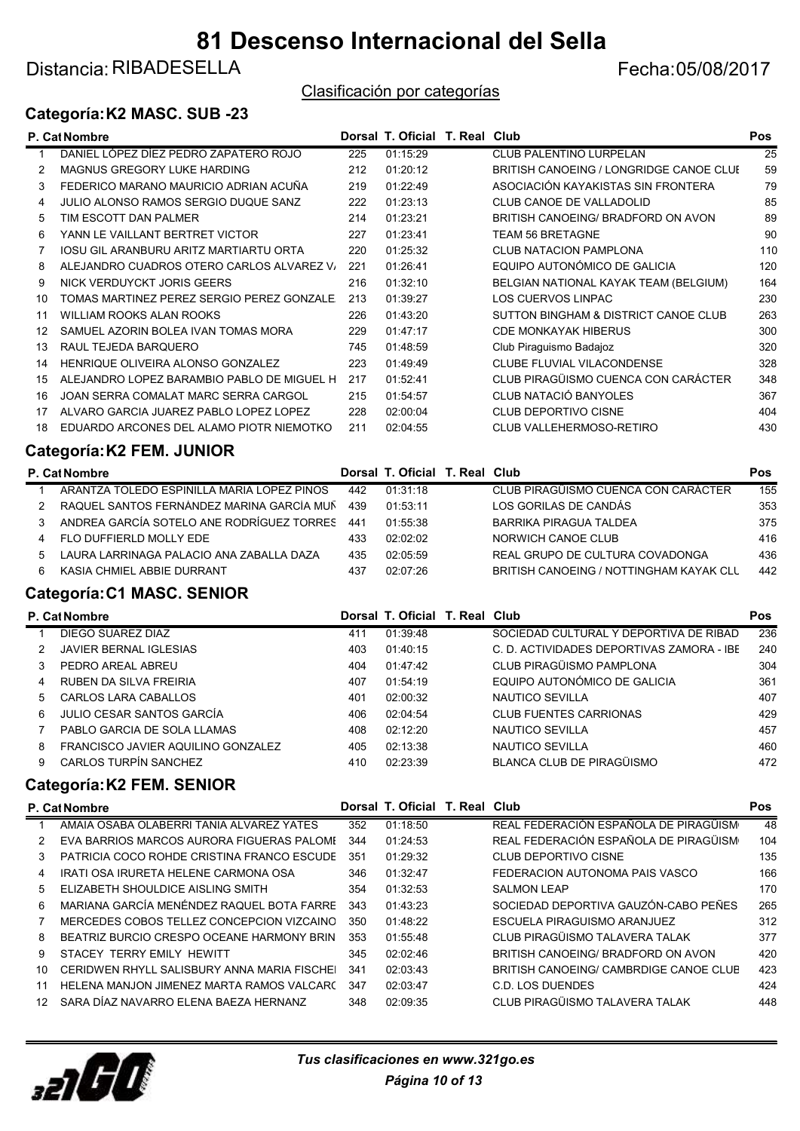### Distancia: RIBADESELLA Fecha: 05/08/2017

#### Clasificación por categorías

#### Categoría:K2 MASC. SUB -23

|    | P. Cat Nombre                                 |     | Dorsal T. Oficial T. Real Club |                                         | <b>Pos</b> |
|----|-----------------------------------------------|-----|--------------------------------|-----------------------------------------|------------|
|    | DANIEL LÓPEZ DÍEZ PEDRO ZAPATERO ROJO         | 225 | 01:15:29                       | <b>CLUB PALENTINO LURPELAN</b>          | 25         |
|    | <b>MAGNUS GREGORY LUKE HARDING</b>            | 212 | 01:20:12                       | BRITISH CANOEING / LONGRIDGE CANOE CLUI | 59         |
| 3  | FEDERICO MARANO MAURICIO ADRIAN ACUÑA         | 219 | 01:22:49                       | ASOCIACIÓN KAYAKISTAS SIN FRONTERA      | 79         |
|    | JULIO ALONSO RAMOS SERGIO DUQUE SANZ          | 222 | 01:23:13                       | CLUB CANOE DE VALLADOLID                | 85         |
| 5  | TIM ESCOTT DAN PALMER                         | 214 | 01:23:21                       | BRITISH CANOEING/ BRADFORD ON AVON      | 89         |
| 6  | YANN LE VAILLANT BERTRET VICTOR               | 227 | 01:23:41                       | TEAM 56 BRETAGNE                        | 90         |
|    | <b>IOSU GIL ARANBURU ARITZ MARTIARTU ORTA</b> | 220 | 01:25:32                       | <b>CLUB NATACION PAMPLONA</b>           | 110        |
| 8  | ALEJANDRO CUADROS OTERO CARLOS ALVAREZ V      | 221 | 01:26:41                       | EQUIPO AUTONÓMICO DE GALICIA            | 120        |
| 9  | NICK VERDUYCKT JORIS GEERS                    | 216 | 01:32:10                       | BELGIAN NATIONAL KAYAK TEAM (BELGIUM)   | 164        |
| 10 | TOMAS MARTINEZ PEREZ SERGIO PEREZ GONZALE.    | 213 | 01:39:27                       | <b>LOS CUERVOS LINPAC</b>               | 230        |
| 11 | WILLIAM ROOKS ALAN ROOKS                      | 226 | 01:43:20                       | SUTTON BINGHAM & DISTRICT CANOE CLUB    | 263        |
| 12 | SAMUEL AZORIN BOLEA IVAN TOMAS MORA           | 229 | 01:47:17                       | <b>CDE MONKAYAK HIBERUS</b>             | 300        |
| 13 | RAUL TEJEDA BARQUERO                          | 745 | 01:48:59                       | Club Piraguismo Badajoz                 | 320        |
| 14 | HENRIQUE OLIVEIRA ALONSO GONZALEZ             | 223 | 01:49:49                       | <b>CLUBE FLUVIAL VILACONDENSE</b>       | 328        |
| 15 | ALEJANDRO LOPEZ BARAMBIO PABLO DE MIGUEL H    | 217 | 01:52:41                       | CLUB PIRAGÜISMO CUENCA CON CARÁCTER     | 348        |
| 16 | JOAN SERRA COMALAT MARC SERRA CARGOL          | 215 | 01:54:57                       | <b>CLUB NATACIÓ BANYOLES</b>            | 367        |
| 17 | ALVARO GARCIA JUAREZ PABLO LOPEZ LOPEZ        | 228 | 02:00:04                       | <b>CLUB DEPORTIVO CISNE</b>             | 404        |
| 18 | EDUARDO ARCONES DEL ALAMO PIOTR NIEMOTKO      | 211 | 02:04:55                       | CLUB VALLEHERMOSO-RETIRO                | 430        |
|    |                                               |     |                                |                                         |            |

#### Categoría:K2 FEM. JUNIOR

|    | P. Cat Nombre                                  |     | Dorsal T. Oficial T. Real Club |                                                | <b>Pos</b> |
|----|------------------------------------------------|-----|--------------------------------|------------------------------------------------|------------|
|    | ARANTZA TOLEDO ESPINILLA MARIA LOPEZ PINOS     | 442 | 01.31.18                       | CLUB PIRAGÜISMO CUENCA CON CARÁCTER            | 155        |
|    | RAQUEL SANTOS FERNÁNDEZ MARINA GARCÍA MUÑ      | 439 | 01.53.11                       | LOS GORILAS DE CANDÁS                          | 353        |
|    | ANDREA GARCÍA SOTELO ANE RODRÍGUEZ TORRES      | 441 | 01.55.38                       | BARRIKA PIRAGUA TALDEA                         | 375        |
|    | FLO DUFFIERLD MOLLY EDE                        | 433 | 02:02:02                       | NORWICH CANOE CLUB                             | 416        |
|    | LAURA LARRINAGA PALACIO ANA ZABALLA DAZA<br>5. | 435 | 02:05:59                       | REAL GRUPO DE CULTURA COVADONGA                | 436        |
| 6. | KASIA CHMIEL ABBIE DURRANT                     | 437 | 02.07.26                       | <b>BRITISH CANOEING / NOTTINGHAM KAYAK CLL</b> | 442        |

#### Categoría:C1 MASC. SENIOR

|    | <b>P. Cat Nombre</b>               |     | Dorsal T. Oficial T. Real Club |                                           | Pos |
|----|------------------------------------|-----|--------------------------------|-------------------------------------------|-----|
|    | DIEGO SUAREZ DIAZ                  | 411 | 01:39:48                       | SOCIEDAD CULTURAL Y DEPORTIVA DE RIBAD    | 236 |
|    | <b>JAVIER BERNAL IGLESIAS</b>      | 403 | 01:40:15                       | C. D. ACTIVIDADES DEPORTIVAS ZAMORA - IBE | 240 |
|    | PEDRO AREAL ABREU                  | 404 | 01:47:42                       | CLUB PIRAGÜISMO PAMPLONA                  | 304 |
| 4  | RUBEN DA SILVA FREIRIA             | 407 | 01:54:19                       | EQUIPO AUTONÓMICO DE GALICIA              | 361 |
| 5. | CARLOS LARA CABALLOS               | 401 | 02:00:32                       | NAUTICO SEVILLA                           | 407 |
| 6  | JULIO CESAR SANTOS GARCÍA          | 406 | 02:04:54                       | <b>CLUB FUENTES CARRIONAS</b>             | 429 |
|    | PABLO GARCIA DE SOLA LLAMAS        | 408 | 02:12:20                       | NAUTICO SEVILLA                           | 457 |
| 8  | FRANCISCO JAVIER AQUILINO GONZALEZ | 405 | 02:13:38                       | NAUTICO SEVILLA                           | 460 |
| 9  | CARLOS TURPÍN SANCHEZ              | 410 | 02:23:39                       | BLANCA CLUB DE PIRAGÜISMO                 | 472 |
|    |                                    |     |                                |                                           |     |

#### Categoría:K2 FEM. SENIOR

|             | <b>P. Cat Nombre</b>                        |     | Dorsal T. Oficial T. Real Club |                                        | <b>Pos</b> |
|-------------|---------------------------------------------|-----|--------------------------------|----------------------------------------|------------|
|             | AMAIA OSABA OLABERRI TANIA ALVAREZ YATES    | 352 | 01:18:50                       | REAL FEDERACIÓN ESPAÑOLA DE PIRAGÜISM  | 48         |
| 2           | EVA BARRIOS MARCOS AURORA FIGUERAS PALOME   | 344 | 01:24:53                       | REAL FEDERACIÓN ESPAÑOLA DE PIRAGÜISM  | 104        |
| 3           | PATRICIA COCO ROHDE CRISTINA FRANCO ESCUDE  | 351 | 01:29:32                       | <b>CLUB DEPORTIVO CISNE</b>            | 135        |
| 4           | IRATI OSA IRURETA HELENE CARMONA OSA        | 346 | 01:32:47                       | FEDERACION AUTONOMA PAIS VASCO         | 166        |
| $5^{\circ}$ | ELIZABETH SHOULDICE AISLING SMITH           | 354 | 01:32:53                       | <b>SALMON LEAP</b>                     | 170        |
| 6           | MARIANA GARCÍA MENÉNDEZ RAQUEL BOTA FARRE   | 343 | 01:43:23                       | SOCIEDAD DEPORTIVA GAUZÓN-CABO PEÑES   | 265        |
|             | MERCEDES COBOS TELLEZ CONCEPCION VIZCAINO   | 350 | 01:48:22                       | ESCUELA PIRAGUISMO ARANJUEZ            | 312        |
| 8           | BEATRIZ BURCIO CRESPO OCEANE HARMONY BRIN   | 353 | 01:55:48                       | CLUB PIRAGÜISMO TALAVERA TALAK         | 377        |
| 9           | STACEY TERRY EMILY HEWITT                   | 345 | 02:02:46                       | BRITISH CANOEING/ BRADFORD ON AVON     | 420        |
| 10          | CERIDWEN RHYLL SALISBURY ANNA MARIA FISCHEI | 341 | 02:03:43                       | BRITISH CANOEING/ CAMBRDIGE CANOE CLUB | 423        |
| 11          | HELENA MANJON JIMENEZ MARTA RAMOS VALCARC   | 347 | 02:03:47                       | C.D. LOS DUENDES                       | 424        |
| 12.         | SARA DÍAZ NAVARRO ELENA BAEZA HERNANZ       | 348 | 02:09:35                       | CLUB PIRAGÜISMO TALAVERA TALAK         | 448        |
|             |                                             |     |                                |                                        |            |

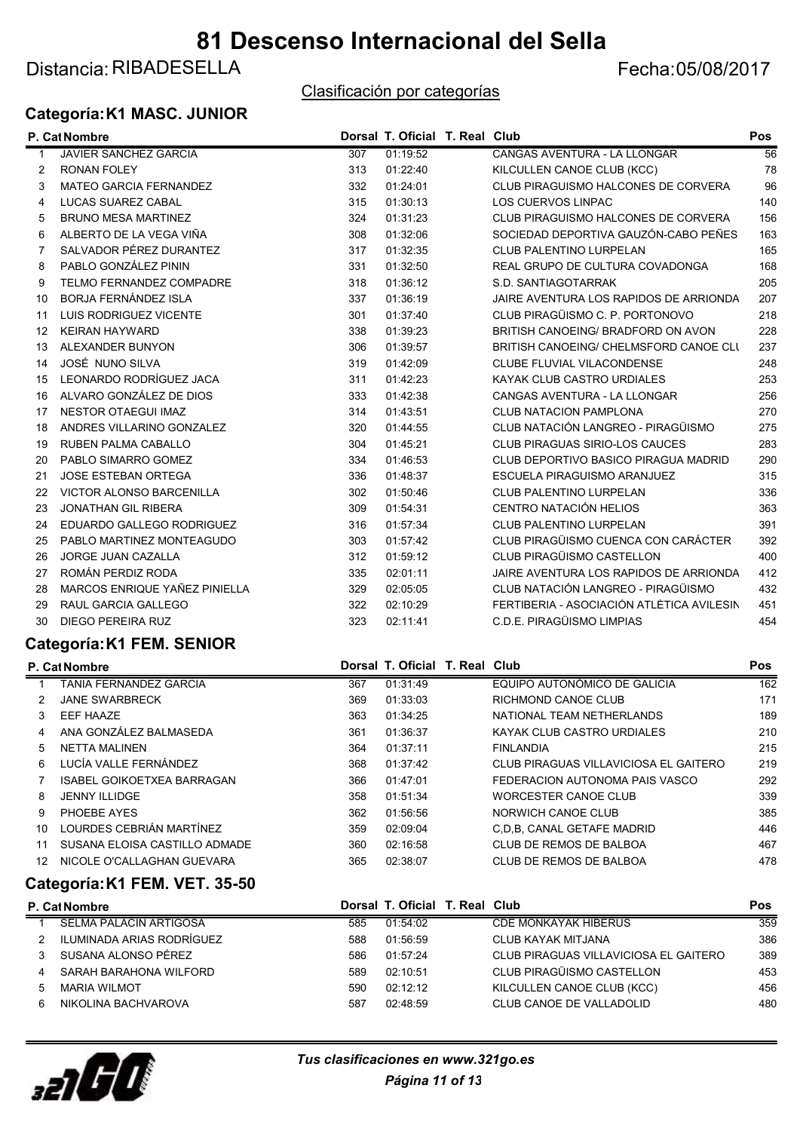### Distancia: RIBADESELLA Fecha: 05/08/2017

#### Clasificación por categorías

#### Categoría:K1 MASC. JUNIOR

|              | P. Cat Nombre                   |     | Dorsal T. Oficial T. Real Club |                                            | Pos             |
|--------------|---------------------------------|-----|--------------------------------|--------------------------------------------|-----------------|
| $\mathbf{1}$ | <b>JAVIER SANCHEZ GARCIA</b>    | 307 | 01:19:52                       | CANGAS AVENTURA - LA LLONGAR               | $\overline{56}$ |
| 2            | <b>RONAN FOLEY</b>              | 313 | 01:22:40                       | KILCULLEN CANOE CLUB (KCC)                 | 78              |
| 3            | <b>MATEO GARCIA FERNANDEZ</b>   | 332 | 01:24:01                       | CLUB PIRAGUISMO HALCONES DE CORVERA        | 96              |
| 4            | LUCAS SUAREZ CABAL              | 315 | 01:30:13                       | <b>LOS CUERVOS LINPAC</b>                  | 140             |
| 5            | <b>BRUNO MESA MARTINEZ</b>      | 324 | 01:31:23                       | <b>CLUB PIRAGUISMO HALCONES DE CORVERA</b> | 156             |
| 6            | ALBERTO DE LA VEGA VIÑA         | 308 | 01:32:06                       | SOCIEDAD DEPORTIVA GAUZÓN-CABO PEÑES       | 163             |
| 7            | SALVADOR PÉREZ DURANTEZ         | 317 | 01:32:35                       | <b>CLUB PALENTINO LURPELAN</b>             | 165             |
| 8            | PABLO GONZÁLEZ PININ            | 331 | 01:32:50                       | REAL GRUPO DE CULTURA COVADONGA            | 168             |
| 9            | TELMO FERNANDEZ COMPADRE        | 318 | 01:36:12                       | S.D. SANTIAGOTARRAK                        | 205             |
| 10           | <b>BORJA FERNÁNDEZ ISLA</b>     | 337 | 01:36:19                       | JAIRE AVENTURA LOS RAPIDOS DE ARRIONDA     | 207             |
| 11           | LUIS RODRIGUEZ VICENTE          | 301 | 01:37:40                       | CLUB PIRAGÜISMO C. P. PORTONOVO            | 218             |
| 12           | <b>KEIRAN HAYWARD</b>           | 338 | 01:39:23                       | BRITISH CANOEING/ BRADFORD ON AVON         | 228             |
| 13           | ALEXANDER BUNYON                | 306 | 01:39:57                       | BRITISH CANOEING/ CHELMSFORD CANOE CLU     | 237             |
| 14           | JOSÉ NUNO SILVA                 | 319 | 01:42:09                       | CLUBE FLUVIAL VILACONDENSE                 | 248             |
| 15           | LEONARDO RODRÍGUEZ JACA         | 311 | 01:42:23                       | KAYAK CLUB CASTRO URDIALES                 | 253             |
| 16           | ALVARO GONZÁLEZ DE DIOS         | 333 | 01:42:38                       | CANGAS AVENTURA - LA LLONGAR               | 256             |
| 17           | <b>NESTOR OTAEGUI IMAZ</b>      | 314 | 01:43:51                       | <b>CLUB NATACION PAMPLONA</b>              | 270             |
| 18           | ANDRES VILLARINO GONZALEZ       | 320 | 01:44:55                       | CLUB NATACIÓN LANGREO - PIRAGÜISMO         | 275             |
| 19           | <b>RUBEN PALMA CABALLO</b>      | 304 | 01:45:21                       | CLUB PIRAGUAS SIRIO-LOS CAUCES             | 283             |
| 20           | PABLO SIMARRO GOMEZ             | 334 | 01:46:53                       | CLUB DEPORTIVO BASICO PIRAGUA MADRID       | 290             |
| 21           | <b>JOSE ESTEBAN ORTEGA</b>      | 336 | 01:48:37                       | ESCUELA PIRAGUISMO ARANJUEZ                | 315             |
| 22           | <b>VICTOR ALONSO BARCENILLA</b> | 302 | 01:50:46                       | <b>CLUB PALENTINO LURPELAN</b>             | 336             |
| 23           | <b>JONATHAN GIL RIBERA</b>      | 309 | 01:54:31                       | CENTRO NATACIÓN HELIOS                     | 363             |
| 24           | EDUARDO GALLEGO RODRIGUEZ       | 316 | 01:57:34                       | <b>CLUB PALENTINO LURPELAN</b>             | 391             |
| 25           | PABLO MARTINEZ MONTEAGUDO       | 303 | 01:57:42                       | CLUB PIRAGÜISMO CUENCA CON CARÁCTER        | 392             |
| 26           | <b>JORGE JUAN CAZALLA</b>       | 312 | 01:59:12                       | CLUB PIRAGÜISMO CASTELLON                  | 400             |
| 27           | ROMÁN PERDIZ RODA               | 335 | 02:01:11                       | JAIRE AVENTURA LOS RAPIDOS DE ARRIONDA     | 412             |
| 28           | MARCOS ENRIQUE YAÑEZ PINIELLA   | 329 | 02:05:05                       | CLUB NATACIÓN LANGREO - PIRAGÜISMO         | 432             |
| 29           | <b>RAUL GARCIA GALLEGO</b>      | 322 | 02:10:29                       | FERTIBERIA - ASOCIACIÓN ATLÉTICA AVILESIN  | 451             |
| 30           | DIEGO PEREIRA RUZ               | 323 | 02:11:41                       | C.D.E. PIRAGÜISMO LIMPIAS                  | 454             |
|              |                                 |     |                                |                                            |                 |

#### Categoría:K1 FEM. SENIOR

|    | P. Cat Nombre                     |     | Dorsal T. Oficial T. Real Club |                                       | <b>Pos</b> |
|----|-----------------------------------|-----|--------------------------------|---------------------------------------|------------|
|    | TANIA FERNANDEZ GARCIA            | 367 | 01:31:49                       | EQUIPO AUTONÓMICO DE GALICIA          | 162        |
|    | <b>JANE SWARBRECK</b>             | 369 | 01:33:03                       | RICHMOND CANOE CLUB                   | 171        |
| 3  | EEF HAAZE                         | 363 | 01:34:25                       | NATIONAL TEAM NETHERLANDS             | 189        |
| 4  | ANA GONZÁLEZ BALMASEDA            | 361 | 01:36:37                       | KAYAK CLUB CASTRO URDIALES            | 210        |
| 5. | NETTA MALINEN                     | 364 | 01:37:11                       | <b>FINLANDIA</b>                      | 215        |
| 6  | LUCÍA VALLE FERNÁNDEZ             | 368 | 01:37:42                       | CLUB PIRAGUAS VILLAVICIOSA EL GAITERO | 219        |
|    | <b>ISABEL GOIKOETXEA BARRAGAN</b> | 366 | 01:47:01                       | FEDERACION AUTONOMA PAIS VASCO        | 292        |
| 8  | <b>JENNY ILLIDGE</b>              | 358 | 01:51:34                       | WORCESTER CANOE CLUB                  | 339        |
| 9  | PHOEBE AYES                       | 362 | 01:56:56                       | NORWICH CANOE CLUB                    | 385        |
| 10 | LOURDES CEBRIÁN MARTÍNEZ          | 359 | 02:09:04                       | C.D.B. CANAL GETAFE MADRID            | 446        |
|    | SUSANA ELOISA CASTILLO ADMADE     | 360 | 02:16:58                       | CLUB DE REMOS DE BALBOA               | 467        |
| 12 | NICOLE O'CALLAGHAN GUEVARA        | 365 | 02:38:07                       | CLUB DE REMOS DE BALBOA               | 478        |
|    |                                   |     |                                |                                       |            |

#### Categoría:K1 FEM. VET. 35-50

|                           |               |          |                                       | <b>Pos</b>                     |
|---------------------------|---------------|----------|---------------------------------------|--------------------------------|
| SELMA PALACIN ARTIGOSA    | 585           | 01:54:02 | <b>CDE MONKAYAK HIBERUS</b>           | 359                            |
| ILUMINADA ARIAS RODRÍGUEZ | 588           | 01:56:59 | CLUB KAYAK MITJANA                    | 386                            |
| SUSANA ALONSO PÉREZ       | 586           | 01:57:24 | CLUB PIRAGUAS VILLAVICIOSA EL GAITERO | 389                            |
| SARAH BARAHONA WILFORD    | 589           | 02:10:51 | CLUB PIRAGÜISMO CASTELLON             | 453                            |
| <b>MARIA WILMOT</b>       | 590           | 02:12:12 | KILCULLEN CANOE CLUB (KCC)            | 456                            |
| NIKOLINA BACHVAROVA       | 587           | 02:48:59 | CLUB CANOE DE VALLADOLID              | 480                            |
|                           | P. Cat Nombre |          |                                       | Dorsal T. Oficial T. Real Club |



Página 11 of 13 Tus clasificaciones en www.321go.es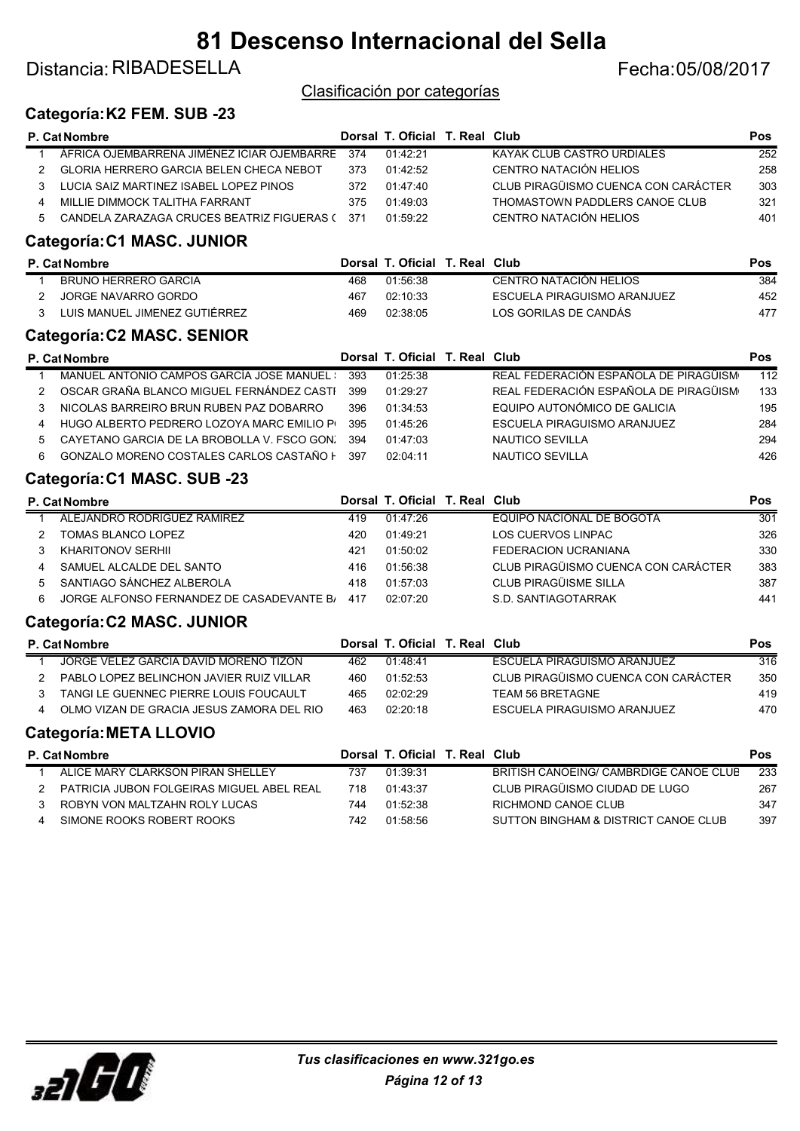### Distancia: RIBADESELLA Fecha: 05/08/2017

Clasificación por categorías

#### Categoría:K2 FEM. SUB -23

|              | P. Cat Nombre                                  |      | Dorsal T. Oficial T. Real Club |                                        | Pos              |
|--------------|------------------------------------------------|------|--------------------------------|----------------------------------------|------------------|
| $\mathbf{1}$ | ÁFRICA OJEMBARRENA JIMÉNEZ ICIAR OJEMBARRE     | 374  | 01:42:21                       | <b>KAYAK CLUB CASTRO URDIALES</b>      | 252              |
| 2            | <b>GLORIA HERRERO GARCIA BELEN CHECA NEBOT</b> | 373  | 01:42:52                       | CENTRO NATACIÓN HELIOS                 | 258              |
| 3            | LUCIA SAIZ MARTINEZ ISABEL LOPEZ PINOS         | 372  | 01:47:40                       | CLUB PIRAGÜISMO CUENCA CON CARÁCTER    | 303              |
| 4            | MILLIE DIMMOCK TALITHA FARRANT                 | 375  | 01:49:03                       | THOMASTOWN PADDLERS CANOE CLUB         | 321              |
| 5            | CANDELA ZARAZAGA CRUCES BEATRIZ FIGUERAS (     | -371 | 01:59:22                       | CENTRO NATACIÓN HELIOS                 | 401              |
|              | Categoría:C1 MASC. JUNIOR                      |      |                                |                                        |                  |
|              | P. Cat Nombre                                  |      | Dorsal T. Oficial T. Real Club |                                        | <b>Pos</b>       |
| 1            | <b>BRUNO HERRERO GARCIA</b>                    | 468  | 01:56:38                       | <b>CENTRO NATACIÓN HELIOS</b>          | 384              |
| 2            | <b>JORGE NAVARRO GORDO</b>                     | 467  | 02:10:33                       | ESCUELA PIRAGUISMO ARANJUEZ            | 452              |
| 3            | LUIS MANUEL JIMENEZ GUTIÉRREZ                  | 469  | 02:38:05                       | LOS GORILAS DE CANDÁS                  | 477              |
|              | Categoría:C2 MASC. SENIOR                      |      |                                |                                        |                  |
|              | P. Cat Nombre                                  |      | Dorsal T. Oficial T. Real Club |                                        | <b>Pos</b>       |
| $\mathbf{1}$ | MANUEL ANTONIO CAMPOS GARCÍA JOSE MANUEL :     | 393  | 01:25:38                       | REAL FEDERACIÓN ESPAÑOLA DE PIRAGÜISM  | $\overline{112}$ |
| 2            | OSCAR GRAÑA BLANCO MIGUEL FERNÁNDEZ CASTI      | 399  | 01:29:27                       | REAL FEDERACIÓN ESPAÑOLA DE PIRAGÜISM  | 133              |
| 3            | NICOLAS BARREIRO BRUN RUBEN PAZ DOBARRO        | 396  | 01:34:53                       | EQUIPO AUTONÓMICO DE GALICIA           | 195              |
| 4            | HUGO ALBERTO PEDRERO LOZOYA MARC EMILIO PI     | 395  | 01:45:26                       | <b>ESCUELA PIRAGUISMO ARANJUEZ</b>     | 284              |
| 5            | CAYETANO GARCIA DE LA BROBOLLA V. FSCO GON.    | 394  | 01:47:03                       | <b>NAUTICO SEVILLA</b>                 | 294              |
| 6            | GONZALO MORENO COSTALES CARLOS CASTAÑO F       | 397  | 02:04:11                       | NAUTICO SEVILLA                        | 426              |
|              | Categoría:C1 MASC. SUB -23                     |      |                                |                                        |                  |
|              | P. Cat Nombre                                  |      | Dorsal T. Oficial T. Real Club |                                        | Pos              |
| 1            | ALEJANDRO RODRÍGUEZ RAMÍREZ                    | 419  | 01:47:26                       | EQUIPO NACIONAL DE BOGOTÁ              | 301              |
| 2            | <b>TOMAS BLANCO LOPEZ</b>                      | 420  | 01:49:21                       | LOS CUERVOS LINPAC                     | 326              |
| 3            | <b>KHARITONOV SERHII</b>                       | 421  | 01:50:02                       | <b>FEDERACION UCRANIANA</b>            | 330              |
| 4            | SAMUEL ALCALDE DEL SANTO                       | 416  | 01:56:38                       | CLUB PIRAGÜISMO CUENCA CON CARÁCTER    | 383              |
| 5            | SANTIAGO SÁNCHEZ ALBEROLA                      | 418  | 01:57:03                       | CLUB PIRAGÜISME SILLA                  | 387              |
| 6            | JORGE ALFONSO FERNANDEZ DE CASADEVANTE B/      | 417  | 02:07:20                       | S.D. SANTIAGOTARRAK                    | 441              |
|              | Categoría:C2 MASC. JUNIOR                      |      |                                |                                        |                  |
|              | P. Cat Nombre                                  |      | Dorsal T. Oficial T. Real Club |                                        | Pos              |
| 1            | JORGE VELEZ GARCIA DAVID MORENO TIZON          | 462  | 01:48:41                       | ESCUELA PIRAGUISMO ARANJUEZ            | $\overline{316}$ |
| 2            | PABLO LOPEZ BELINCHON JAVIER RUIZ VILLAR       | 460  | 01:52:53                       | CLUB PIRAGÜISMO CUENCA CON CARÁCTER    | 350              |
| 3            | TANGI LE GUENNEC PIERRE LOUIS FOUCAULT         | 465  | 02:02:29                       | <b>TEAM 56 BRETAGNE</b>                | 419              |
| 4            | OLMO VIZAN DE GRACIA JESUS ZAMORA DEL RIO      | 463  | 02:20:18                       | ESCUELA PIRAGUISMO ARANJUEZ            | 470              |
|              | <b>Categoría: META LLOVIO</b>                  |      |                                |                                        |                  |
|              | P. Cat Nombre                                  |      | Dorsal T. Oficial T. Real Club |                                        | Pos              |
| 1            | ALICE MARY CLARKSON PIRAN SHELLEY              | 737  | 01:39:31                       | BRITISH CANOEING/ CAMBRDIGE CANOE CLUB | 233              |
| 2            | PATRICIA JUBON FOLGEIRAS MIGUEL ABEL REAL      | 718  | 01:43:37                       | CLUB PIRAGÜISMO CIUDAD DE LUGO         | 267              |
| 3            | ROBYN VON MALTZAHN ROLY LUCAS                  | 744  | 01:52:38                       | RICHMOND CANOE CLUB                    | 347              |
| 4            | SIMONE ROOKS ROBERT ROOKS                      | 742  | 01:58:56                       | SUTTON BINGHAM & DISTRICT CANOE CLUB   | 397              |
|              |                                                |      |                                |                                        |                  |
|              |                                                |      |                                |                                        |                  |